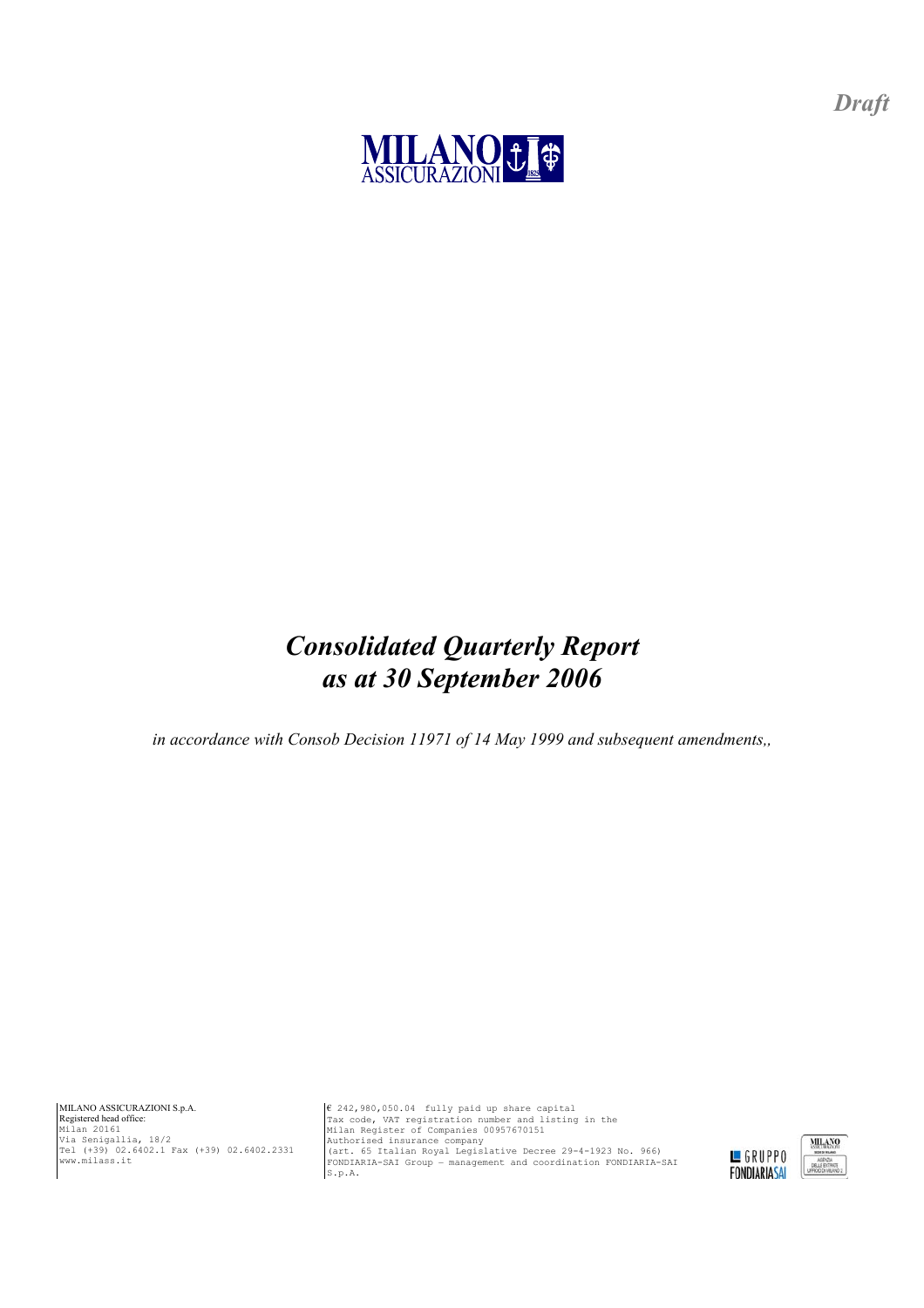

# *Consolidated Quarterly Report as at 30 September 2006*

*in accordance with Consob Decision 11971 of 14 May 1999 and subsequent amendments,,* 

MILANO ASSICURAZIONI S.p.A. Registered head office: Milan 20161 Via Senigallia, 18/2 Tel (+39) 02.6402.1 Fax (+39) 02.6402.2331 www.milass.it

6 242,980,050.04 fully paid up share capital<br>Tax code, VAT registration number and listing in the<br>Milan Register of Companies 00957670151<br>Authorised insurance company<br>(art. 65 Italian Royal Legislative Decree 29-4-1923 No. FONDIARIA-SAI Group – management and coordination FONDIARIA-SAI  $S.p.A.$ 



*Draft*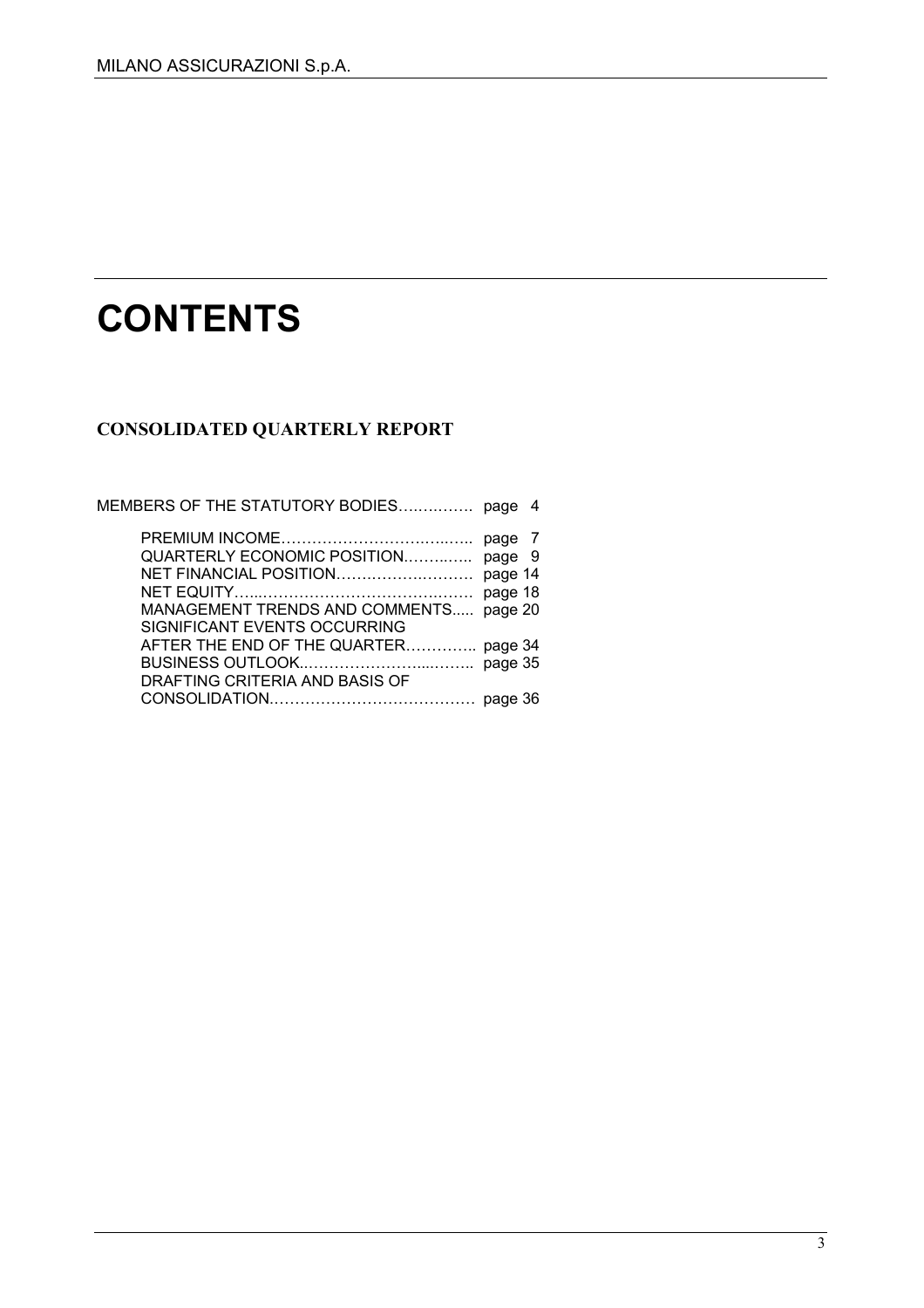# **CONTENTS**

# **CONSOLIDATED QUARTERLY REPORT**

| MEMBERS OF THE STATUTORY BODIES page 4 |         |  |
|----------------------------------------|---------|--|
|                                        | page 7  |  |
| QUARTERLY ECONOMIC POSITION            | page 9  |  |
| NET FINANCIAL POSITION                 | page 14 |  |
|                                        | page 18 |  |
| MANAGEMENT TRENDS AND COMMENTS         | page 20 |  |
| SIGNIFICANT EVENTS OCCURRING           |         |  |
| AFTER THE END OF THE QUARTER page 34   |         |  |
|                                        |         |  |
| DRAFTING CRITERIA AND BASIS OF         |         |  |
|                                        |         |  |
|                                        |         |  |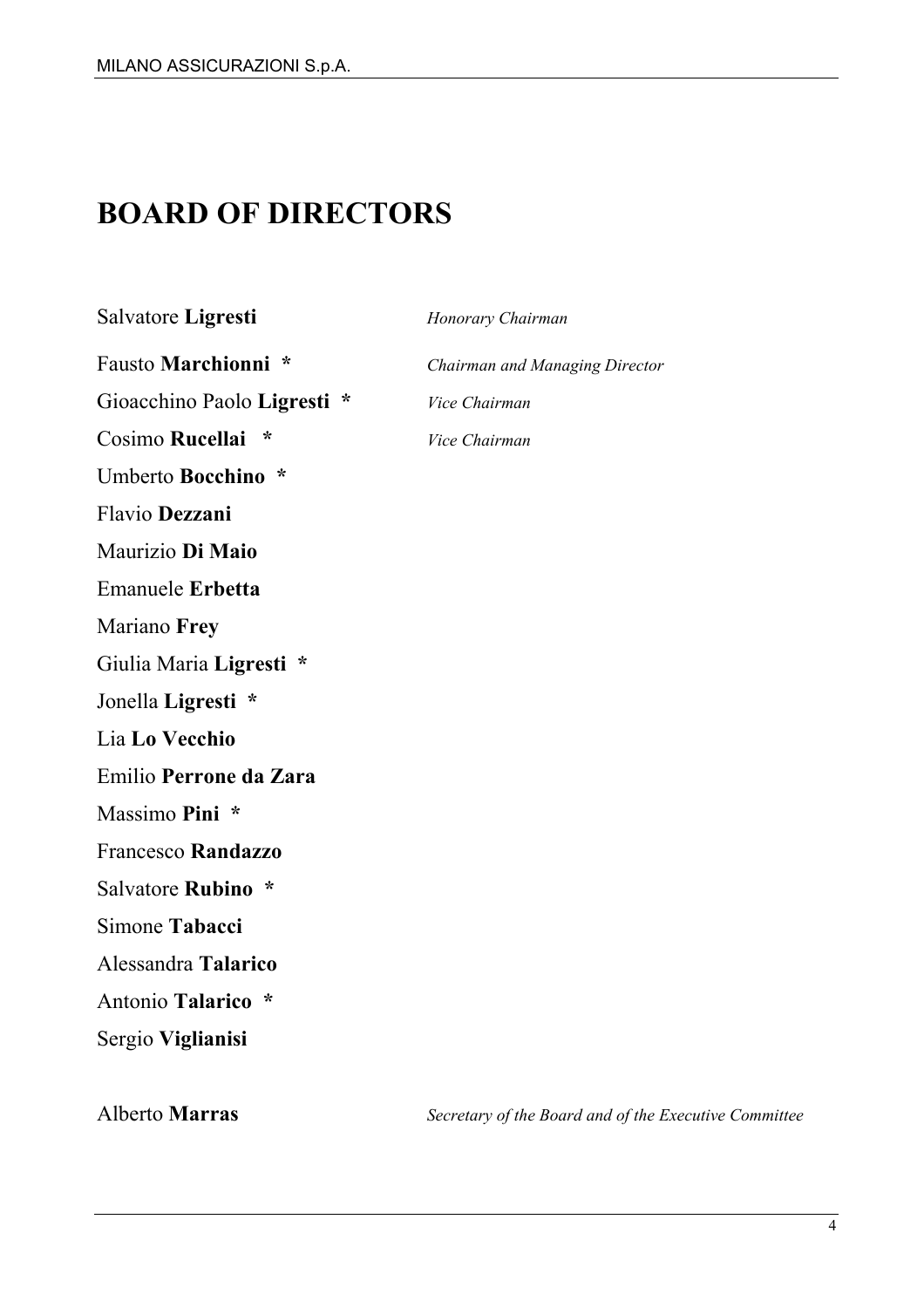# **BOARD OF DIRECTORS**

#### Salvatore **Ligresti** *Honorary Chairman*

Gioacchino Paolo **Ligresti \*** *Vice Chairman* Cosimo **Rucellai \*** *Vice Chairman*

Umberto **Bocchino \*** 

Flavio **Dezzani**

Maurizio **Di Maio** 

Emanuele **Erbetta** 

Mariano **Frey**

Giulia Maria **Ligresti \*** 

Jonella **Ligresti \*** 

Lia **Lo Vecchio** 

Emilio **Perrone da Zara**

Massimo **Pini \*** 

Francesco **Randazzo**

Salvatore **Rubino \*** 

Simone **Tabacci** 

Alessandra **Talarico** 

Antonio **Talarico \*** 

Sergio **Viglianisi** 

Fausto **Marchionni \*** *Chairman and Managing Director*

Alberto **Marras** *Secretary of the Board and of the Executive Committee*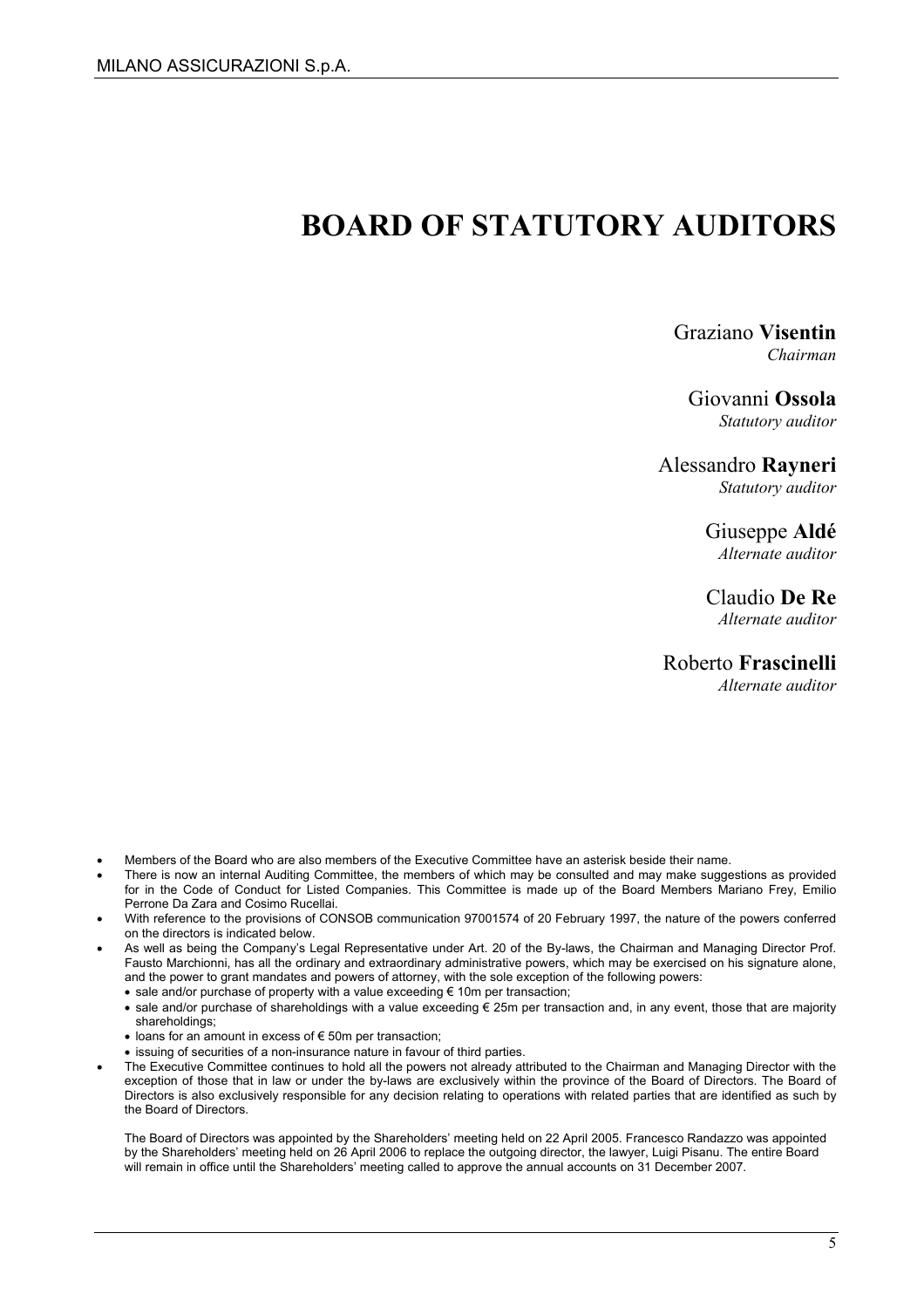# **BOARD OF STATUTORY AUDITORS**

#### Graziano **Visentin**  *Chairman*

#### Giovanni **Ossola**

*Statutory auditor* 

#### Alessandro **Rayneri**

*Statutory auditor* 

#### Giuseppe **Aldé**

*Alternate auditor* 

#### Claudio **De Re**

*Alternate auditor* 

#### Roberto **Frascinelli**

*Alternate auditor* 

- Members of the Board who are also members of the Executive Committee have an asterisk beside their name.
- There is now an internal Auditing Committee, the members of which may be consulted and may make suggestions as provided for in the Code of Conduct for Listed Companies. This Committee is made up of the Board Members Mariano Frey, Emilio Perrone Da Zara and Cosimo Rucellai.
- With reference to the provisions of CONSOB communication 97001574 of 20 February 1997, the nature of the powers conferred on the directors is indicated below.
- As well as being the Company's Legal Representative under Art. 20 of the By-laws, the Chairman and Managing Director Prof. Fausto Marchionni, has all the ordinary and extraordinary administrative powers, which may be exercised on his signature alone, and the power to grant mandates and powers of attorney, with the sole exception of the following powers:
	- sale and/or purchase of property with a value exceeding € 10m per transaction;
	- sale and/or purchase of shareholdings with a value exceeding € 25m per transaction and, in any event, those that are majority shareholdings;
	- loans for an amount in excess of € 50m per transaction;
	- issuing of securities of a non-insurance nature in favour of third parties.
- The Executive Committee continues to hold all the powers not already attributed to the Chairman and Managing Director with the exception of those that in law or under the by-laws are exclusively within the province of the Board of Directors. The Board of Directors is also exclusively responsible for any decision relating to operations with related parties that are identified as such by the Board of Directors.

The Board of Directors was appointed by the Shareholders' meeting held on 22 April 2005. Francesco Randazzo was appointed by the Shareholders' meeting held on 26 April 2006 to replace the outgoing director, the lawyer, Luigi Pisanu. The entire Board will remain in office until the Shareholders' meeting called to approve the annual accounts on 31 December 2007.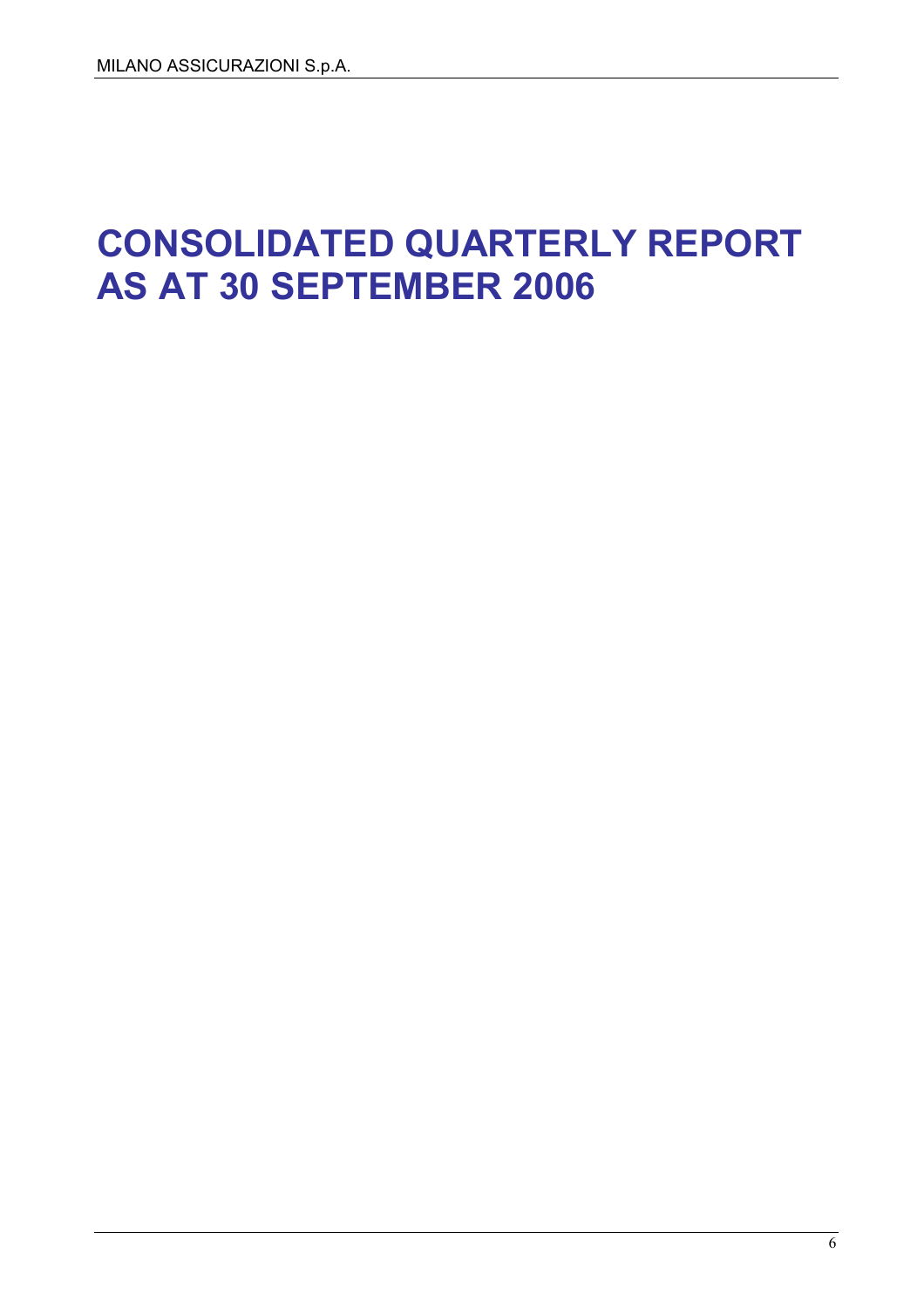# **CONSOLIDATED QUARTERLY REPORT AS AT 30 SEPTEMBER 2006**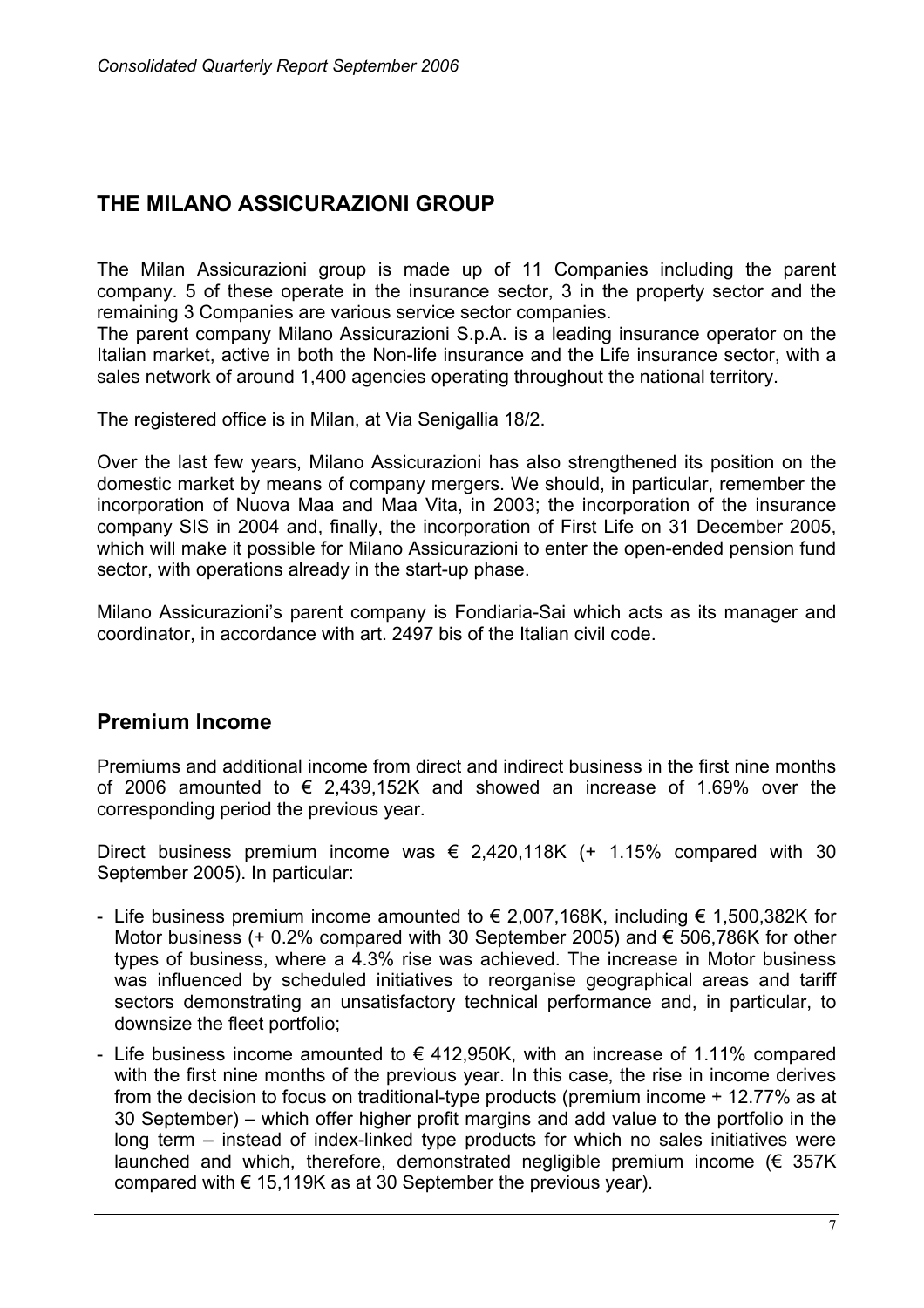# **THE MILANO ASSICURAZIONI GROUP**

The Milan Assicurazioni group is made up of 11 Companies including the parent company. 5 of these operate in the insurance sector, 3 in the property sector and the remaining 3 Companies are various service sector companies.

The parent company Milano Assicurazioni S.p.A. is a leading insurance operator on the Italian market, active in both the Non-life insurance and the Life insurance sector, with a sales network of around 1,400 agencies operating throughout the national territory.

The registered office is in Milan, at Via Senigallia 18/2.

Over the last few years, Milano Assicurazioni has also strengthened its position on the domestic market by means of company mergers. We should, in particular, remember the incorporation of Nuova Maa and Maa Vita, in 2003; the incorporation of the insurance company SIS in 2004 and, finally, the incorporation of First Life on 31 December 2005, which will make it possible for Milano Assicurazioni to enter the open-ended pension fund sector, with operations already in the start-up phase.

Milano Assicurazioni's parent company is Fondiaria-Sai which acts as its manager and coordinator, in accordance with art. 2497 bis of the Italian civil code.

### **Premium Income**

Premiums and additional income from direct and indirect business in the first nine months of 2006 amounted to  $\epsilon$  2,439,152K and showed an increase of 1.69% over the corresponding period the previous year.

Direct business premium income was  $\epsilon$  2,420,118K (+ 1.15% compared with 30 September 2005). In particular:

- Life business premium income amounted to  $\epsilon$  2,007,168K, including  $\epsilon$  1,500,382K for Motor business (+ 0.2% compared with 30 September 2005) and  $\epsilon$  506,786K for other types of business, where a 4.3% rise was achieved. The increase in Motor business was influenced by scheduled initiatives to reorganise geographical areas and tariff sectors demonstrating an unsatisfactory technical performance and, in particular, to downsize the fleet portfolio;
- Life business income amounted to  $\epsilon$  412,950K, with an increase of 1.11% compared with the first nine months of the previous year. In this case, the rise in income derives from the decision to focus on traditional-type products (premium income + 12.77% as at 30 September) – which offer higher profit margins and add value to the portfolio in the long term – instead of index-linked type products for which no sales initiatives were launched and which, therefore, demonstrated negligible premium income  $(\epsilon$  357K compared with  $\epsilon$  15,119K as at 30 September the previous year).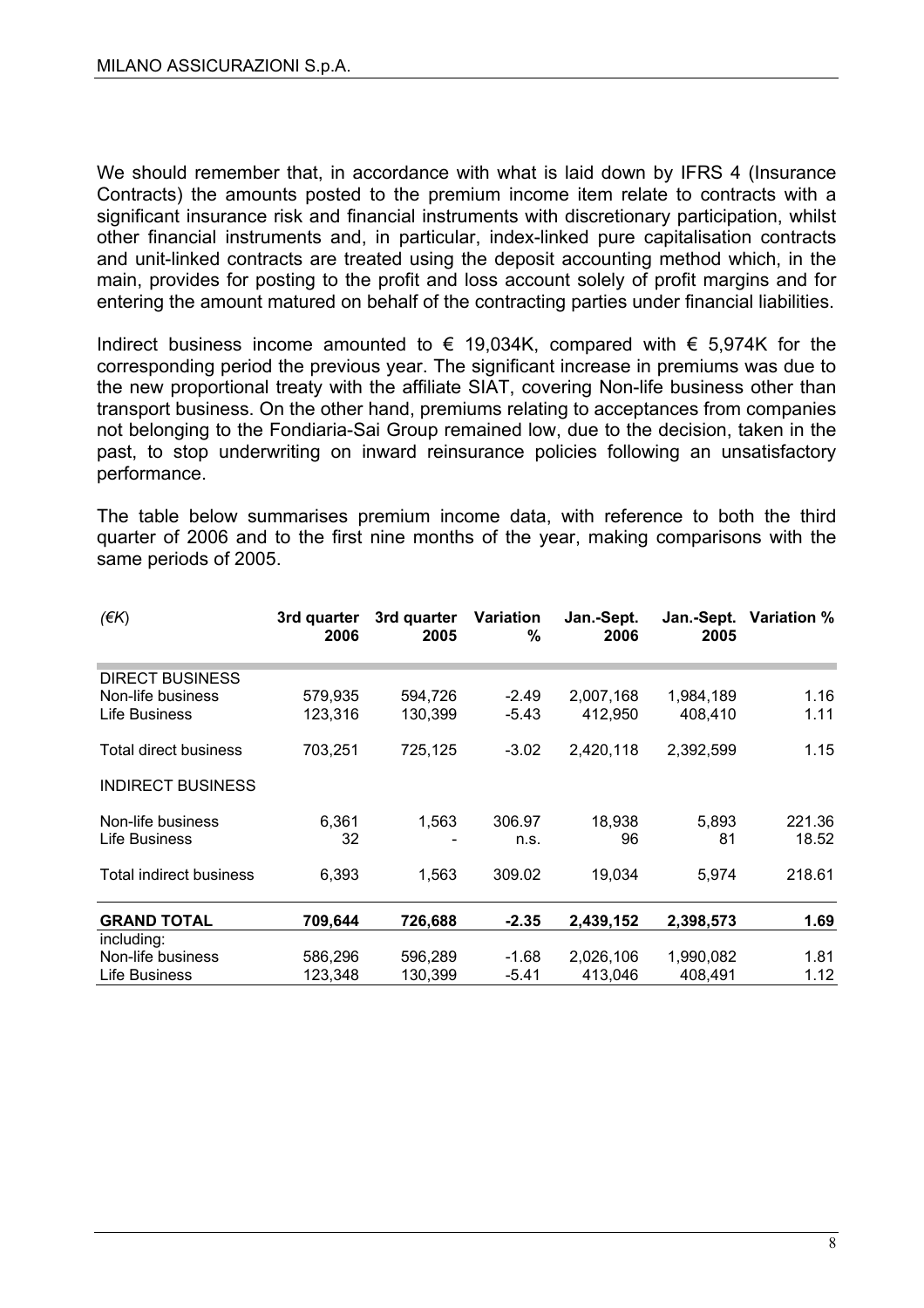We should remember that, in accordance with what is laid down by IFRS 4 (Insurance Contracts) the amounts posted to the premium income item relate to contracts with a significant insurance risk and financial instruments with discretionary participation, whilst other financial instruments and, in particular, index-linked pure capitalisation contracts and unit-linked contracts are treated using the deposit accounting method which, in the main, provides for posting to the profit and loss account solely of profit margins and for entering the amount matured on behalf of the contracting parties under financial liabilities.

Indirect business income amounted to  $\epsilon$  19,034K, compared with  $\epsilon$  5,974K for the corresponding period the previous year. The significant increase in premiums was due to the new proportional treaty with the affiliate SIAT, covering Non-life business other than transport business. On the other hand, premiums relating to acceptances from companies not belonging to the Fondiaria-Sai Group remained low, due to the decision, taken in the past, to stop underwriting on inward reinsurance policies following an unsatisfactory performance.

The table below summarises premium income data, with reference to both the third quarter of 2006 and to the first nine months of the year, making comparisons with the same periods of 2005.

| $($ <del>€</del> K $)$         | 3rd quarter<br>2006 | 3rd quarter<br>2005 | <b>Variation</b><br>% | Jan.-Sept.<br>2006 | Jan.-Sept.<br>2005 | <b>Variation %</b> |
|--------------------------------|---------------------|---------------------|-----------------------|--------------------|--------------------|--------------------|
| <b>DIRECT BUSINESS</b>         |                     |                     |                       |                    |                    |                    |
| Non-life business              | 579,935             | 594,726             | $-2.49$               | 2,007,168          | 1,984,189          | 1.16               |
| Life Business                  | 123,316             | 130,399             | $-5.43$               | 412,950            | 408,410            | 1.11               |
| Total direct business          | 703,251             | 725,125             | $-3.02$               | 2,420,118          | 2,392,599          | 1.15               |
| <b>INDIRECT BUSINESS</b>       |                     |                     |                       |                    |                    |                    |
| Non-life business              | 6,361               | 1,563               | 306.97                | 18,938             | 5,893              | 221.36             |
| Life Business                  | 32                  |                     | n.s.                  | 96                 | 81                 | 18.52              |
| <b>Total indirect business</b> | 6,393               | 1,563               | 309.02                | 19,034             | 5,974              | 218.61             |
| <b>GRAND TOTAL</b>             | 709,644             | 726,688             | $-2.35$               | 2,439,152          | 2,398,573          | 1.69               |
| including:                     |                     |                     |                       |                    |                    |                    |
| Non-life business              | 586,296             | 596,289             | $-1.68$               | 2,026,106          | 1,990,082          | 1.81               |
| Life Business                  | 123,348             | 130,399             | $-5.41$               | 413,046            | 408,491            | 1.12               |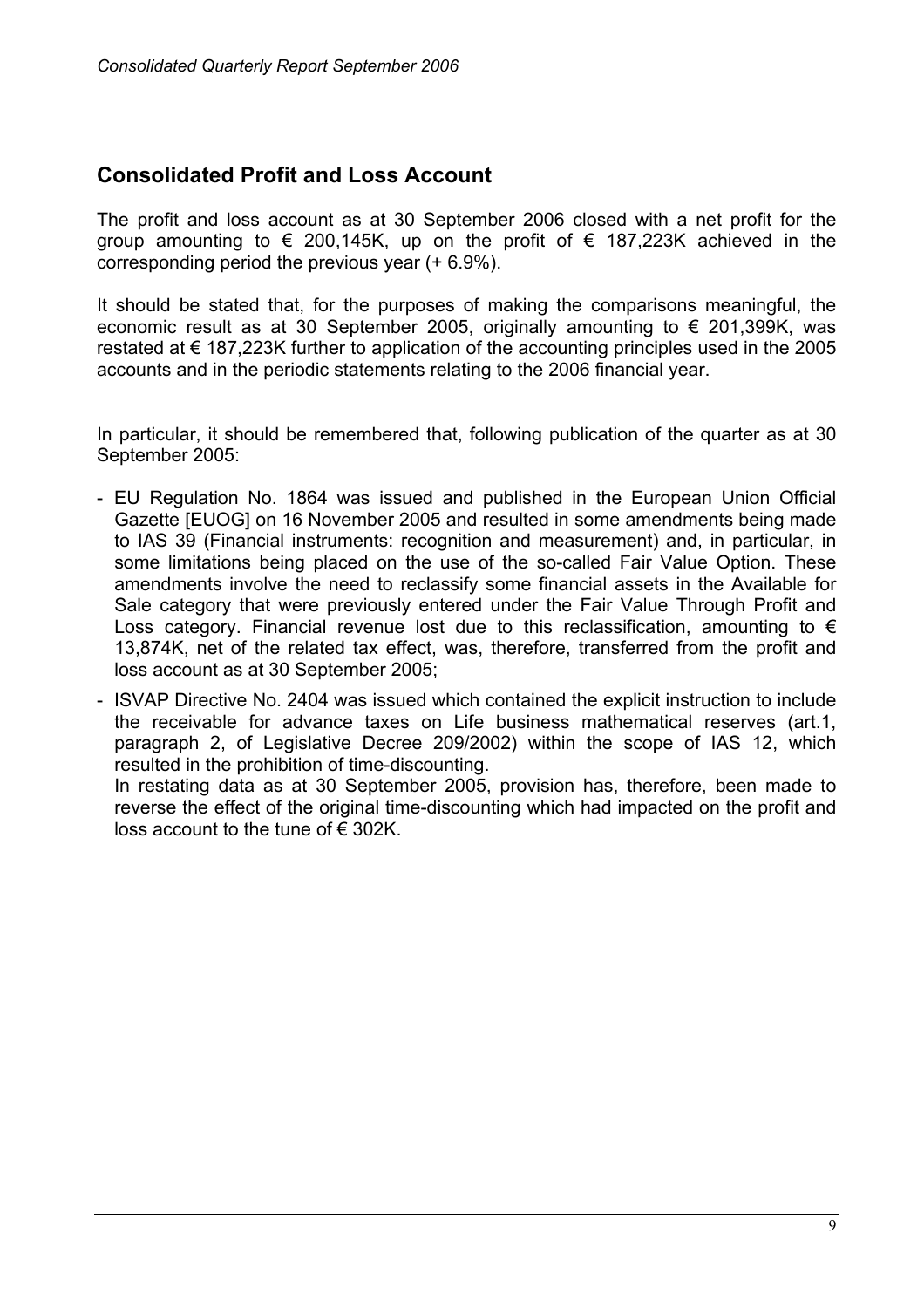# **Consolidated Profit and Loss Account**

The profit and loss account as at 30 September 2006 closed with a net profit for the group amounting to  $\epsilon$  200,145K, up on the profit of  $\epsilon$  187,223K achieved in the corresponding period the previous year (+ 6.9%).

It should be stated that, for the purposes of making the comparisons meaningful, the economic result as at 30 September 2005, originally amounting to  $\epsilon$  201,399K, was restated at  $\epsilon$  187,223K further to application of the accounting principles used in the 2005 accounts and in the periodic statements relating to the 2006 financial year.

In particular, it should be remembered that, following publication of the quarter as at 30 September 2005:

- EU Regulation No. 1864 was issued and published in the European Union Official Gazette [EUOG] on 16 November 2005 and resulted in some amendments being made to IAS 39 (Financial instruments: recognition and measurement) and, in particular, in some limitations being placed on the use of the so-called Fair Value Option. These amendments involve the need to reclassify some financial assets in the Available for Sale category that were previously entered under the Fair Value Through Profit and Loss category. Financial revenue lost due to this reclassification, amounting to  $\epsilon$ 13,874K, net of the related tax effect, was, therefore, transferred from the profit and loss account as at 30 September 2005;

- ISVAP Directive No. 2404 was issued which contained the explicit instruction to include the receivable for advance taxes on Life business mathematical reserves (art.1, paragraph 2, of Legislative Decree 209/2002) within the scope of IAS 12, which resulted in the prohibition of time-discounting. In restating data as at 30 September 2005, provision has, therefore, been made to

reverse the effect of the original time-discounting which had impacted on the profit and loss account to the tune of  $\epsilon$  302K.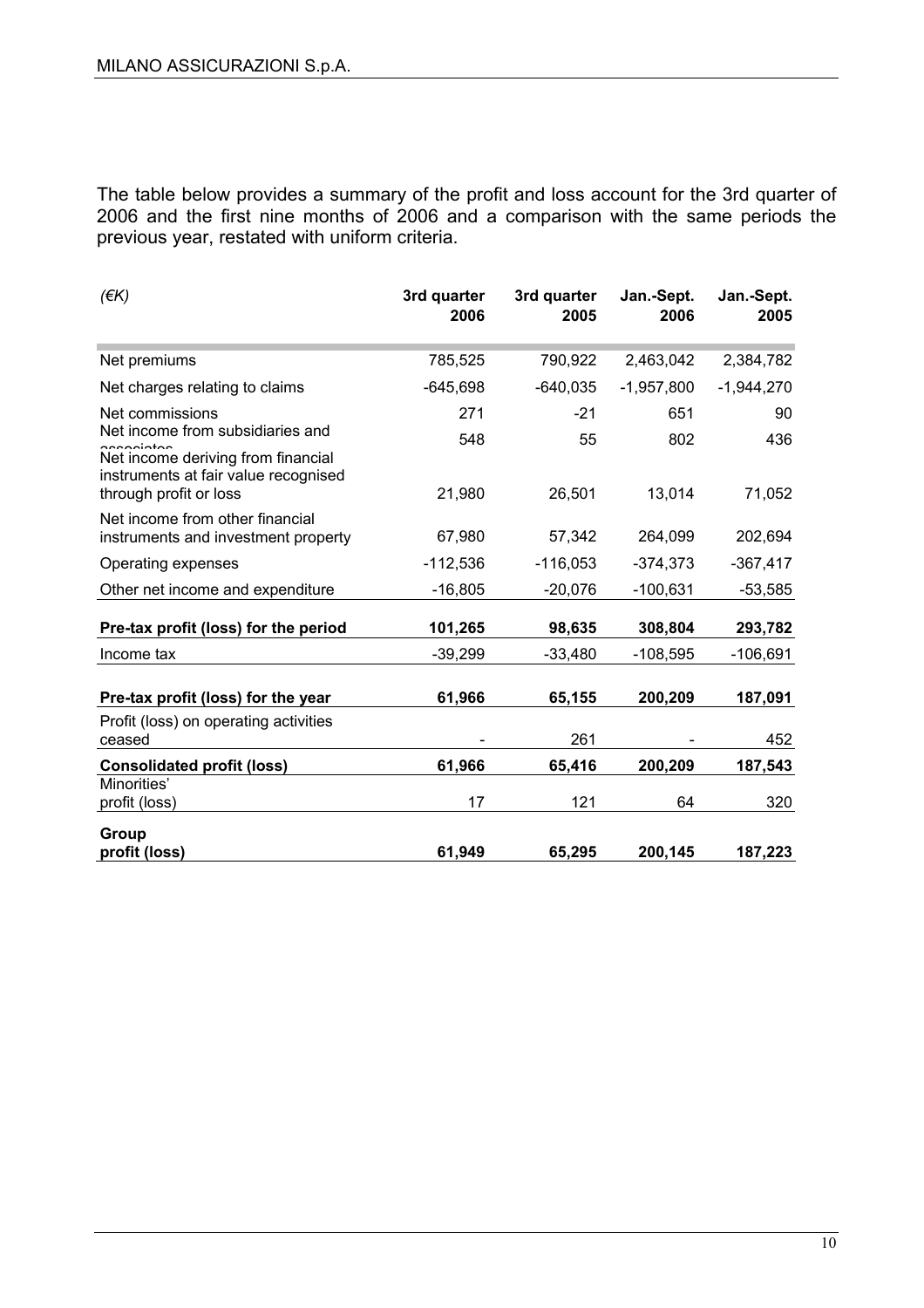The table below provides a summary of the profit and loss account for the 3rd quarter of 2006 and the first nine months of 2006 and a comparison with the same periods the previous year, restated with uniform criteria.

| $($ $\notin$ K $)$                                                                                     | 3rd quarter<br>2006 | 3rd quarter<br>2005 | Jan.-Sept.<br>2006 | Jan.-Sept.<br>2005 |
|--------------------------------------------------------------------------------------------------------|---------------------|---------------------|--------------------|--------------------|
| Net premiums                                                                                           | 785,525             | 790,922             | 2,463,042          | 2,384,782          |
| Net charges relating to claims                                                                         | $-645,698$          | $-640,035$          | $-1,957,800$       | $-1,944,270$       |
| Net commissions<br>Net income from subsidiaries and<br>soooigtee<br>Net income deriving from financial | 271<br>548          | $-21$<br>55         | 651<br>802         | 90<br>436          |
| instruments at fair value recognised<br>through profit or loss                                         | 21,980              | 26,501              | 13,014             | 71,052             |
| Net income from other financial<br>instruments and investment property                                 | 67,980              | 57,342              | 264,099            | 202,694            |
| Operating expenses                                                                                     | $-112,536$          | $-116,053$          | $-374,373$         | $-367,417$         |
| Other net income and expenditure                                                                       | $-16,805$           | $-20,076$           | $-100,631$         | $-53,585$          |
| Pre-tax profit (loss) for the period                                                                   | 101,265             | 98,635              | 308,804            | 293,782            |
| Income tax                                                                                             | $-39,299$           | $-33,480$           | $-108,595$         | $-106,691$         |
| Pre-tax profit (loss) for the year                                                                     | 61,966              | 65,155              | 200,209            | 187,091            |
| Profit (loss) on operating activities<br>ceased                                                        |                     | 261                 |                    | 452                |
| <b>Consolidated profit (loss)</b>                                                                      | 61,966              | 65,416              | 200,209            | 187,543            |
| Minorities'<br>profit (loss)                                                                           | 17                  | 121                 | 64                 | 320                |
| Group<br>profit (loss)                                                                                 | 61,949              | 65,295              | 200,145            | 187,223            |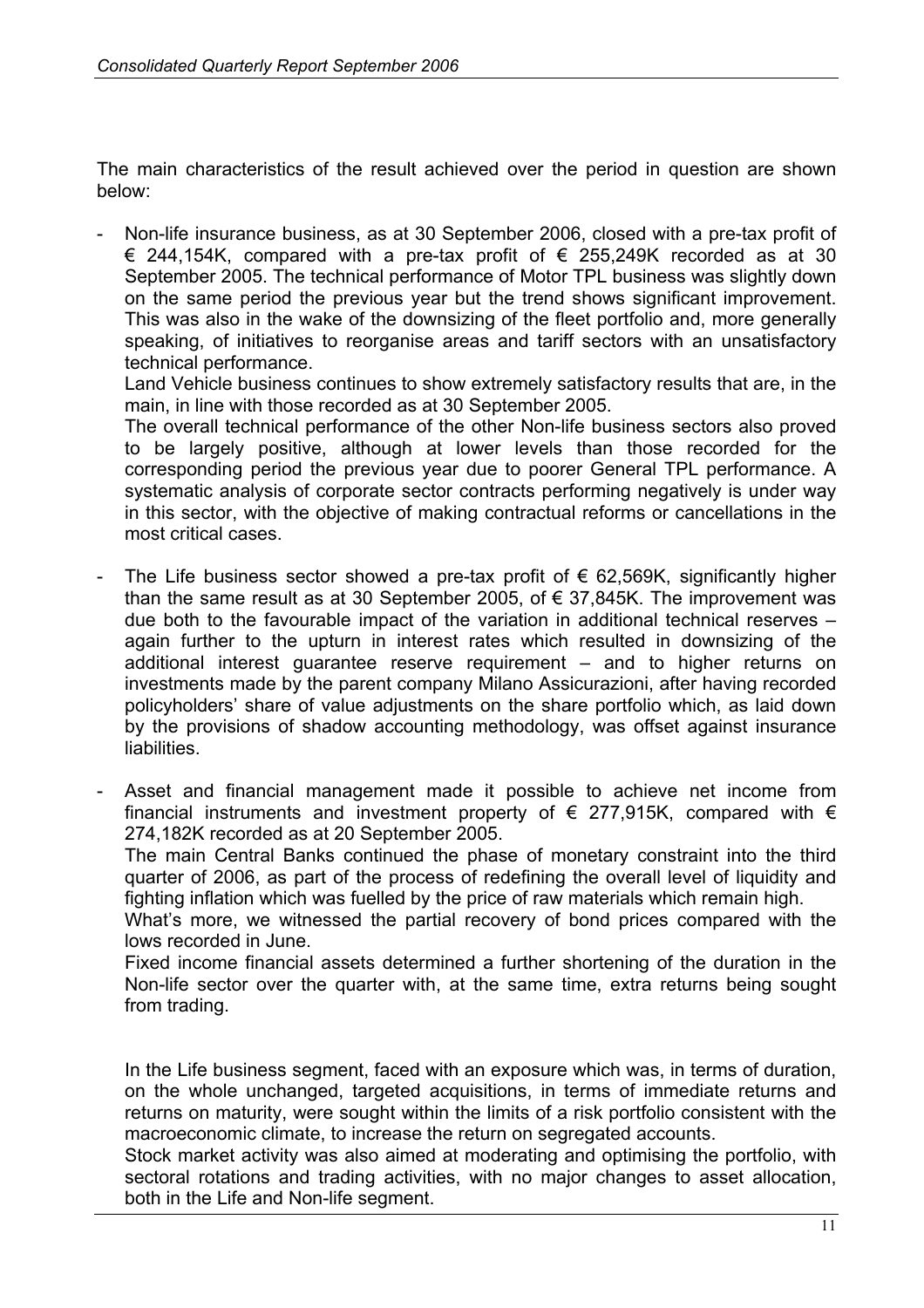The main characteristics of the result achieved over the period in question are shown below:

Non-life insurance business, as at 30 September 2006, closed with a pre-tax profit of € 244,154K, compared with a pre-tax profit of  $∈$  255,249K recorded as at 30 September 2005. The technical performance of Motor TPL business was slightly down on the same period the previous year but the trend shows significant improvement. This was also in the wake of the downsizing of the fleet portfolio and, more generally speaking, of initiatives to reorganise areas and tariff sectors with an unsatisfactory technical performance.

Land Vehicle business continues to show extremely satisfactory results that are, in the main, in line with those recorded as at 30 September 2005.

The overall technical performance of the other Non-life business sectors also proved to be largely positive, although at lower levels than those recorded for the corresponding period the previous year due to poorer General TPL performance. A systematic analysis of corporate sector contracts performing negatively is under way in this sector, with the objective of making contractual reforms or cancellations in the most critical cases.

- The Life business sector showed a pre-tax profit of  $\epsilon$  62,569K, significantly higher than the same result as at 30 September 2005, of  $\epsilon$  37,845K. The improvement was due both to the favourable impact of the variation in additional technical reserves – again further to the upturn in interest rates which resulted in downsizing of the additional interest guarantee reserve requirement – and to higher returns on investments made by the parent company Milano Assicurazioni, after having recorded policyholders' share of value adjustments on the share portfolio which, as laid down by the provisions of shadow accounting methodology, was offset against insurance liabilities.
- Asset and financial management made it possible to achieve net income from financial instruments and investment property of  $\epsilon$  277,915K, compared with  $\epsilon$ 274,182K recorded as at 20 September 2005.

The main Central Banks continued the phase of monetary constraint into the third quarter of 2006, as part of the process of redefining the overall level of liquidity and fighting inflation which was fuelled by the price of raw materials which remain high.

What's more, we witnessed the partial recovery of bond prices compared with the lows recorded in June.

Fixed income financial assets determined a further shortening of the duration in the Non-life sector over the quarter with, at the same time, extra returns being sought from trading.

In the Life business segment, faced with an exposure which was, in terms of duration, on the whole unchanged, targeted acquisitions, in terms of immediate returns and returns on maturity, were sought within the limits of a risk portfolio consistent with the macroeconomic climate, to increase the return on segregated accounts.

Stock market activity was also aimed at moderating and optimising the portfolio, with sectoral rotations and trading activities, with no major changes to asset allocation, both in the Life and Non-life segment.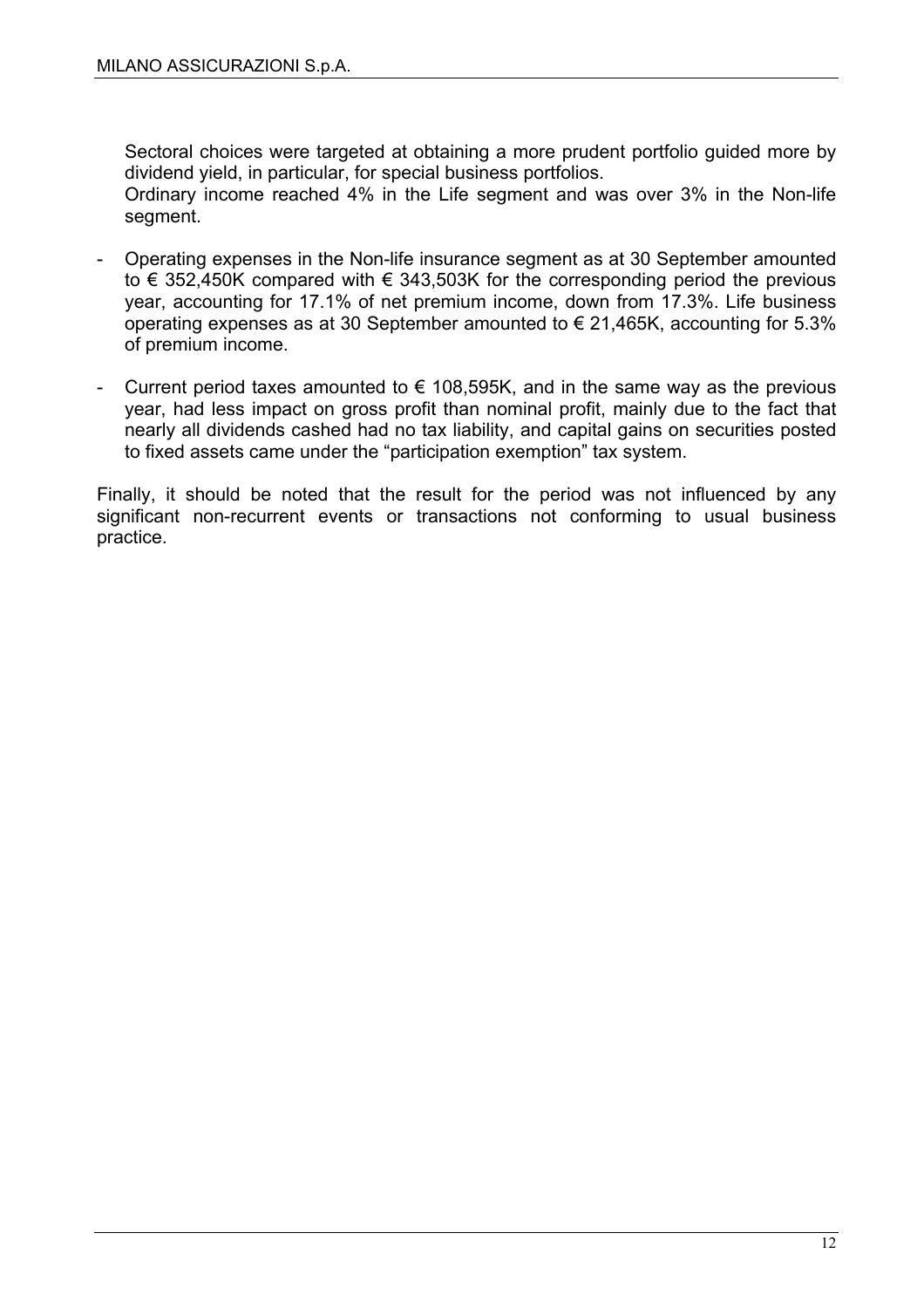Sectoral choices were targeted at obtaining a more prudent portfolio guided more by dividend yield, in particular, for special business portfolios.

Ordinary income reached 4% in the Life segment and was over 3% in the Non-life segment.

- Operating expenses in the Non-life insurance segment as at 30 September amounted to  $\epsilon$  352,450K compared with  $\epsilon$  343,503K for the corresponding period the previous year, accounting for 17.1% of net premium income, down from 17.3%. Life business operating expenses as at 30 September amounted to € 21,465K, accounting for 5.3% of premium income.
- Current period taxes amounted to  $\epsilon$  108,595K, and in the same way as the previous year, had less impact on gross profit than nominal profit, mainly due to the fact that nearly all dividends cashed had no tax liability, and capital gains on securities posted to fixed assets came under the "participation exemption" tax system.

Finally, it should be noted that the result for the period was not influenced by any significant non-recurrent events or transactions not conforming to usual business practice.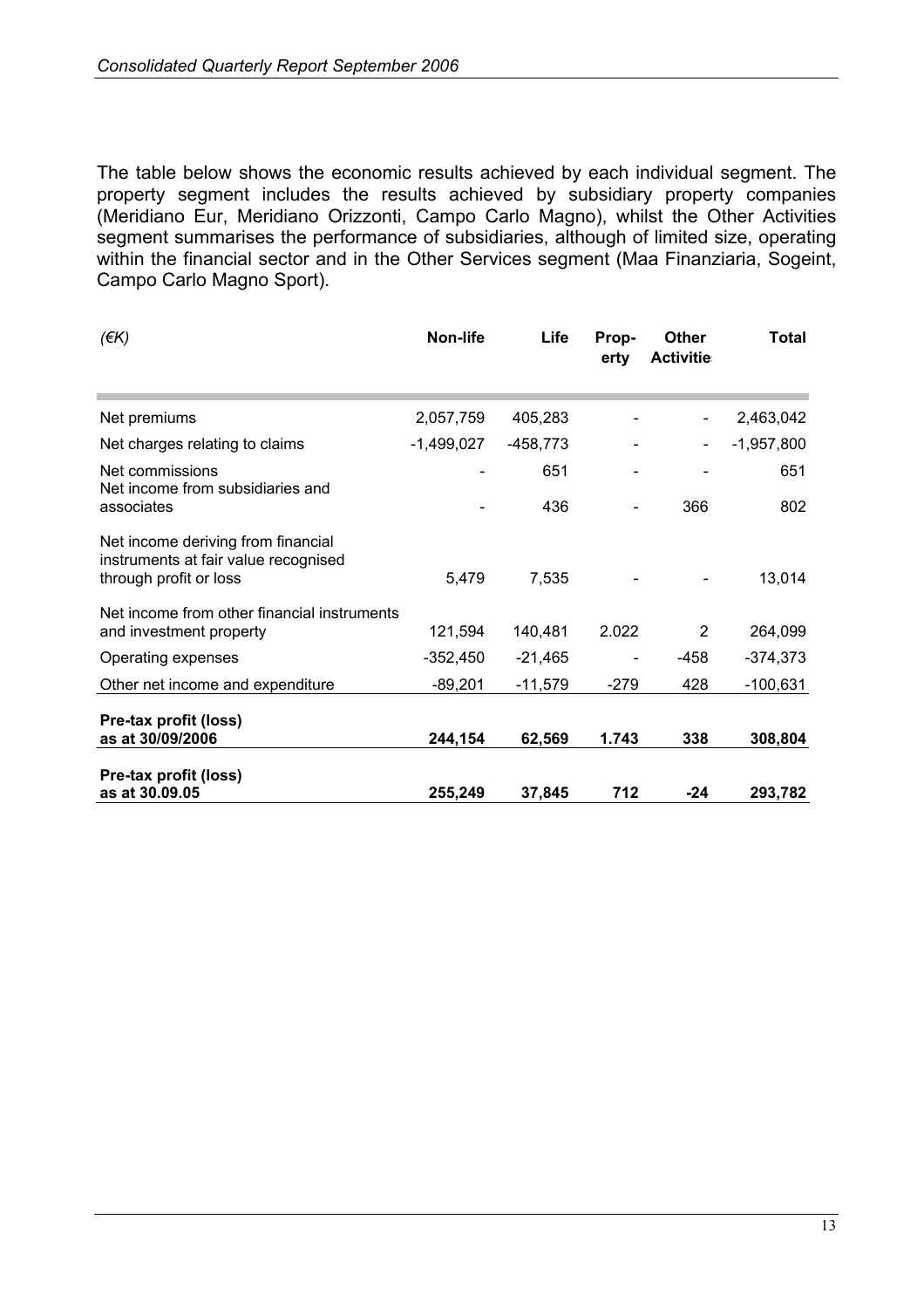The table below shows the economic results achieved by each individual segment. The property segment includes the results achieved by subsidiary property companies (Meridiano Eur, Meridiano Orizzonti, Campo Carlo Magno), whilst the Other Activities segment summarises the performance of subsidiaries, although of limited size, operating within the financial sector and in the Other Services segment (Maa Finanziaria, Sogeint, Campo Carlo Magno Sport).

| $($ $\notin$ K $)$                                                                                   | Non-life     | Life       | Prop-<br>erty | <b>Other</b><br><b>Activitie</b> | Total        |
|------------------------------------------------------------------------------------------------------|--------------|------------|---------------|----------------------------------|--------------|
| Net premiums                                                                                         | 2,057,759    | 405,283    |               |                                  | 2,463,042    |
| Net charges relating to claims                                                                       | $-1,499,027$ | $-458,773$ |               |                                  | $-1,957,800$ |
| Net commissions<br>Net income from subsidiaries and                                                  |              | 651        |               |                                  | 651          |
| associates                                                                                           |              | 436        |               | 366                              | 802          |
| Net income deriving from financial<br>instruments at fair value recognised<br>through profit or loss | 5,479        | 7,535      |               |                                  | 13,014       |
| Net income from other financial instruments<br>and investment property                               | 121,594      | 140,481    | 2.022         | 2                                | 264,099      |
| Operating expenses                                                                                   | $-352,450$   | $-21,465$  |               | $-458$                           | $-374,373$   |
| Other net income and expenditure                                                                     | $-89,201$    | $-11,579$  | -279          | 428                              | $-100,631$   |
| Pre-tax profit (loss)<br>as at 30/09/2006                                                            | 244,154      | 62,569     | 1.743         | 338                              | 308,804      |
| Pre-tax profit (loss)<br>as at 30.09.05                                                              | 255,249      | 37,845     | 712           | $-24$                            | 293,782      |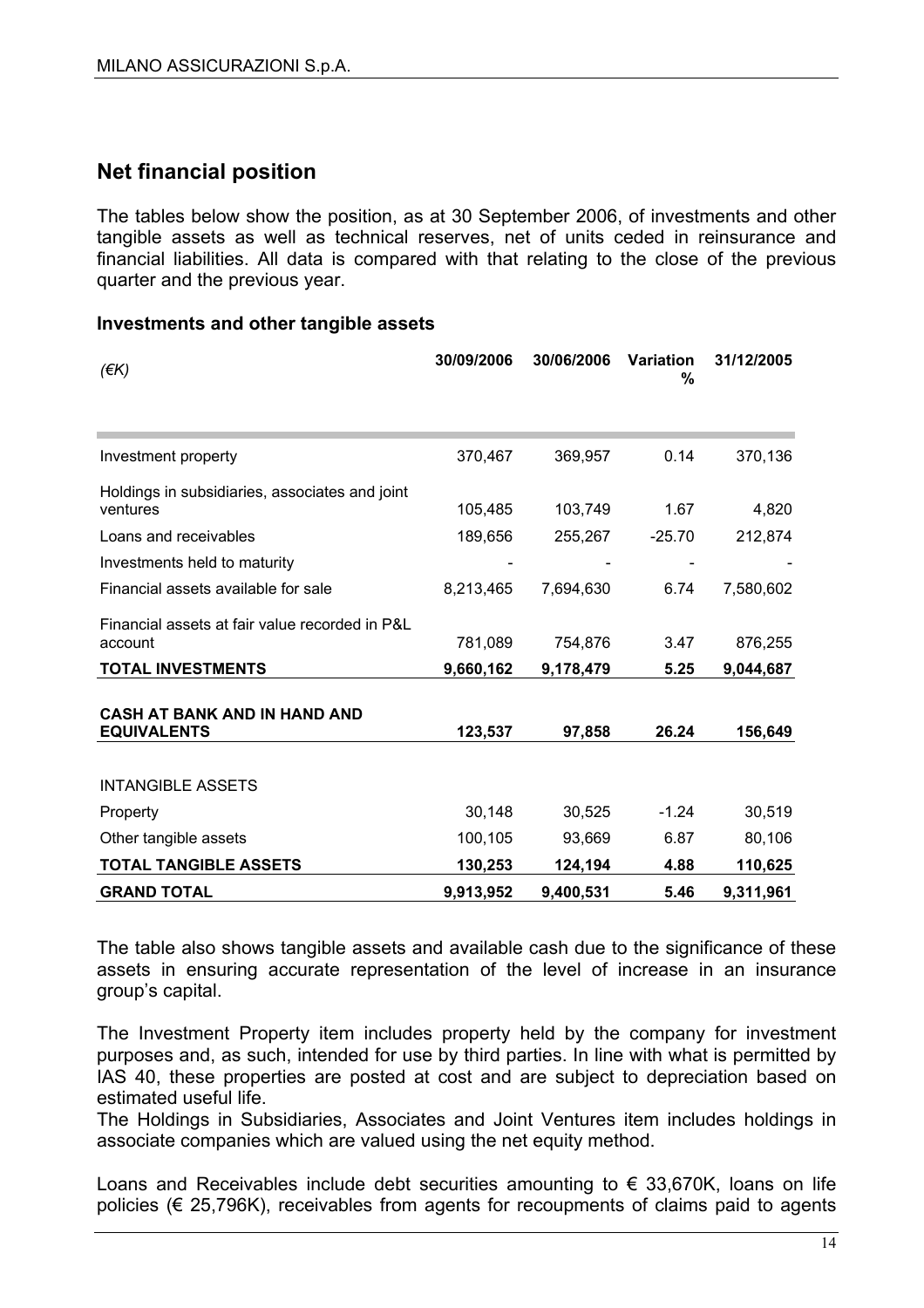# **Net financial position**

The tables below show the position, as at 30 September 2006, of investments and other tangible assets as well as technical reserves, net of units ceded in reinsurance and financial liabilities. All data is compared with that relating to the close of the previous quarter and the previous year.

#### **Investments and other tangible assets**

| $($ $\notin$ K $)$                                         | 30/09/2006 | 30/06/2006 | Variation<br>% | 31/12/2005 |
|------------------------------------------------------------|------------|------------|----------------|------------|
|                                                            |            |            |                |            |
| Investment property                                        | 370,467    | 369,957    | 0.14           | 370,136    |
| Holdings in subsidiaries, associates and joint<br>ventures | 105,485    | 103,749    | 1.67           | 4,820      |
| Loans and receivables                                      | 189,656    | 255,267    | $-25.70$       | 212,874    |
| Investments held to maturity                               |            |            |                |            |
| Financial assets available for sale                        | 8,213,465  | 7,694,630  | 6.74           | 7,580,602  |
| Financial assets at fair value recorded in P&L<br>account  | 781,089    | 754,876    | 3.47           | 876,255    |
| <b>TOTAL INVESTMENTS</b>                                   | 9,660,162  | 9,178,479  | 5.25           | 9,044,687  |
| <b>CASH AT BANK AND IN HAND AND</b><br><b>EQUIVALENTS</b>  | 123,537    | 97,858     | 26.24          | 156,649    |
| <b>INTANGIBLE ASSETS</b>                                   |            |            |                |            |
| Property                                                   | 30,148     | 30,525     | $-1.24$        | 30,519     |
| Other tangible assets                                      | 100,105    | 93,669     | 6.87           | 80,106     |
| <b>TOTAL TANGIBLE ASSETS</b>                               | 130,253    | 124,194    | 4.88           | 110,625    |
| <b>GRAND TOTAL</b>                                         | 9,913,952  | 9,400,531  | 5.46           | 9,311,961  |

The table also shows tangible assets and available cash due to the significance of these assets in ensuring accurate representation of the level of increase in an insurance group's capital.

The Investment Property item includes property held by the company for investment purposes and, as such, intended for use by third parties. In line with what is permitted by IAS 40, these properties are posted at cost and are subject to depreciation based on estimated useful life.

The Holdings in Subsidiaries, Associates and Joint Ventures item includes holdings in associate companies which are valued using the net equity method.

Loans and Receivables include debt securities amounting to  $\epsilon$  33.670K, loans on life policies (€ 25,796K), receivables from agents for recoupments of claims paid to agents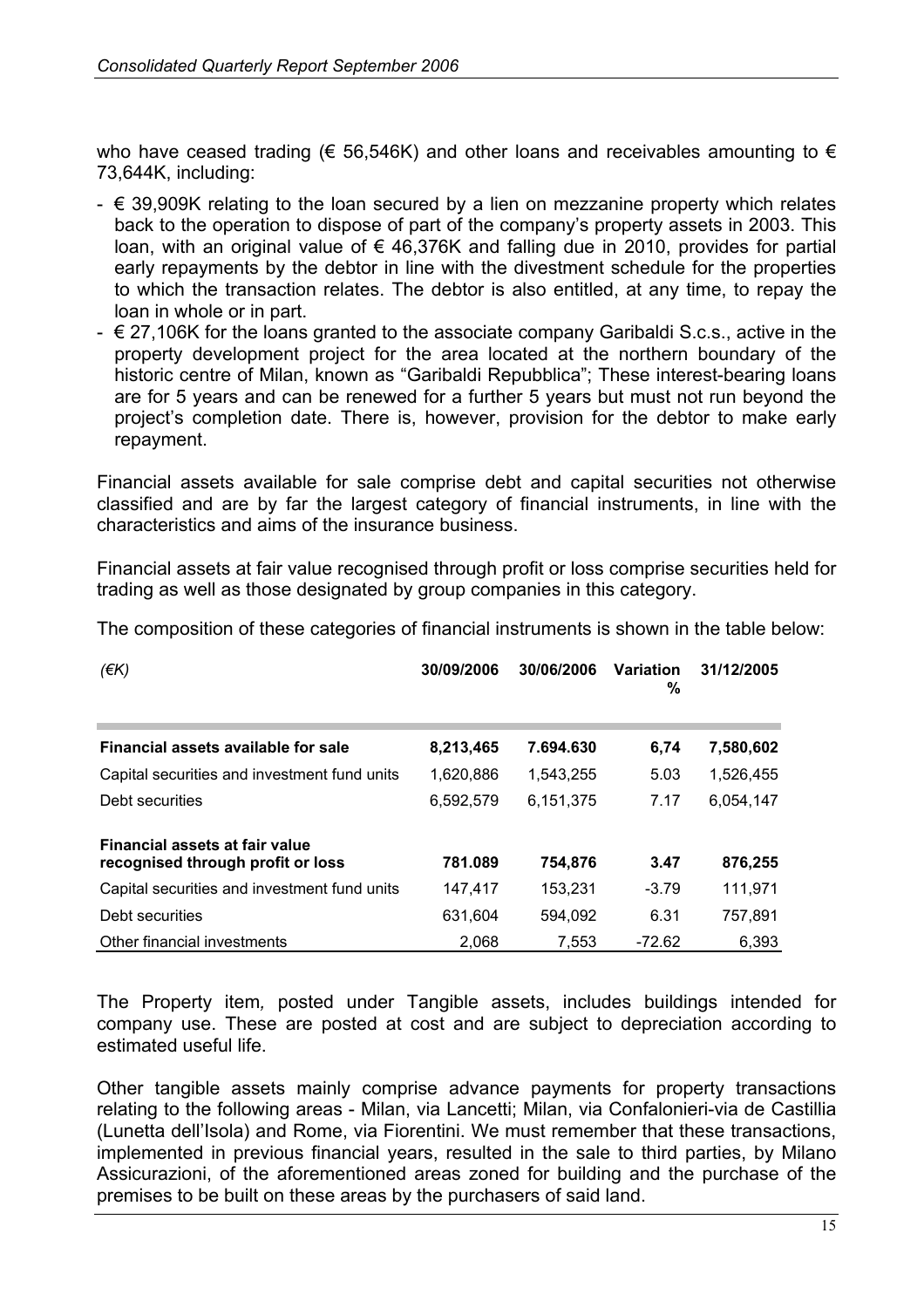who have ceased trading ( $\epsilon$  56,546K) and other loans and receivables amounting to  $\epsilon$ 73,644K, including:

- $\epsilon$  39,909K relating to the loan secured by a lien on mezzanine property which relates back to the operation to dispose of part of the company's property assets in 2003. This loan, with an original value of € 46,376K and falling due in 2010, provides for partial early repayments by the debtor in line with the divestment schedule for the properties to which the transaction relates. The debtor is also entitled, at any time, to repay the loan in whole or in part.
- $\epsilon$  27,106K for the loans granted to the associate company Garibaldi S.c.s., active in the property development project for the area located at the northern boundary of the historic centre of Milan, known as "Garibaldi Repubblica"; These interest-bearing loans are for 5 years and can be renewed for a further 5 years but must not run beyond the project's completion date. There is, however, provision for the debtor to make early repayment.

Financial assets available for sale comprise debt and capital securities not otherwise classified and are by far the largest category of financial instruments, in line with the characteristics and aims of the insurance business.

Financial assets at fair value recognised through profit or loss comprise securities held for trading as well as those designated by group companies in this category.

| (EK)                                                                | 30/09/2006 | 30/06/2006 | <b>Variation</b><br>% | 31/12/2005 |
|---------------------------------------------------------------------|------------|------------|-----------------------|------------|
| Financial assets available for sale                                 | 8,213,465  | 7.694.630  | 6,74                  | 7,580,602  |
| Capital securities and investment fund units                        | 1.620.886  | 1.543.255  | 5.03                  | 1,526,455  |
| Debt securities                                                     | 6,592,579  | 6,151,375  | 7.17                  | 6.054.147  |
| Financial assets at fair value<br>recognised through profit or loss | 781.089    | 754,876    | 3.47                  | 876,255    |
| Capital securities and investment fund units                        | 147.417    | 153,231    | $-3.79$               | 111,971    |
| Debt securities                                                     | 631,604    | 594.092    | 6.31                  | 757,891    |
| Other financial investments                                         | 2,068      | 7,553      | $-72.62$              | 6.393      |

The composition of these categories of financial instruments is shown in the table below:

The Property item*,* posted under Tangible assets, includes buildings intended for company use. These are posted at cost and are subject to depreciation according to estimated useful life.

Other tangible assets mainly comprise advance payments for property transactions relating to the following areas - Milan, via Lancetti; Milan, via Confalonieri-via de Castillia (Lunetta dell'Isola) and Rome, via Fiorentini. We must remember that these transactions, implemented in previous financial years, resulted in the sale to third parties, by Milano Assicurazioni, of the aforementioned areas zoned for building and the purchase of the premises to be built on these areas by the purchasers of said land.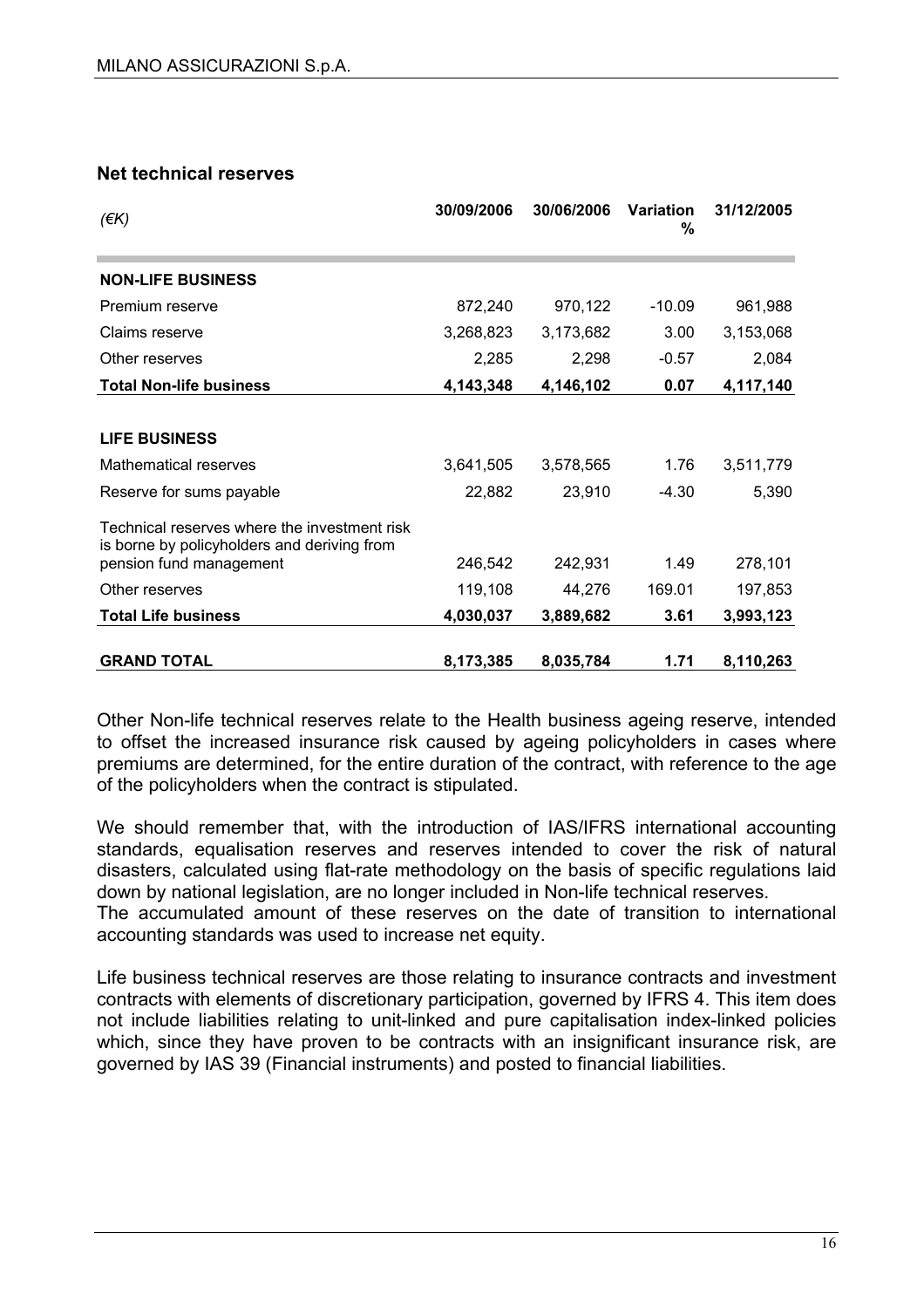#### **Net technical reserves**

| $($ $\notin$ K $)$                                                                          | 30/09/2006 | 30/06/2006 | <b>Variation</b><br>% | 31/12/2005 |
|---------------------------------------------------------------------------------------------|------------|------------|-----------------------|------------|
| <b>NON-LIFE BUSINESS</b>                                                                    |            |            |                       |            |
| Premium reserve                                                                             | 872,240    | 970,122    | $-10.09$              | 961,988    |
| Claims reserve                                                                              | 3,268,823  | 3,173,682  | 3.00                  | 3,153,068  |
| Other reserves                                                                              | 2,285      | 2,298      | $-0.57$               | 2,084      |
| <b>Total Non-life business</b>                                                              | 4,143,348  | 4,146,102  | 0.07                  | 4,117,140  |
|                                                                                             |            |            |                       |            |
| <b>LIFE BUSINESS</b>                                                                        |            |            |                       |            |
| Mathematical reserves                                                                       | 3,641,505  | 3,578,565  | 1.76                  | 3,511,779  |
| Reserve for sums payable                                                                    | 22,882     | 23,910     | -4.30                 | 5,390      |
| Technical reserves where the investment risk<br>is borne by policyholders and deriving from |            |            |                       |            |
| pension fund management                                                                     | 246,542    | 242,931    | 1.49                  | 278,101    |
| Other reserves                                                                              | 119,108    | 44,276     | 169.01                | 197,853    |
| <b>Total Life business</b>                                                                  | 4,030,037  | 3,889,682  | 3.61                  | 3,993,123  |
| <b>GRAND TOTAL</b>                                                                          | 8,173,385  | 8,035,784  | 1.71                  | 8,110,263  |

Other Non-life technical reserves relate to the Health business ageing reserve, intended to offset the increased insurance risk caused by ageing policyholders in cases where premiums are determined, for the entire duration of the contract, with reference to the age of the policyholders when the contract is stipulated.

We should remember that, with the introduction of IAS/IFRS international accounting standards, equalisation reserves and reserves intended to cover the risk of natural disasters, calculated using flat-rate methodology on the basis of specific regulations laid down by national legislation, are no longer included in Non-life technical reserves.

The accumulated amount of these reserves on the date of transition to international accounting standards was used to increase net equity.

Life business technical reserves are those relating to insurance contracts and investment contracts with elements of discretionary participation, governed by IFRS 4. This item does not include liabilities relating to unit-linked and pure capitalisation index-linked policies which, since they have proven to be contracts with an insignificant insurance risk, are governed by IAS 39 (Financial instruments) and posted to financial liabilities.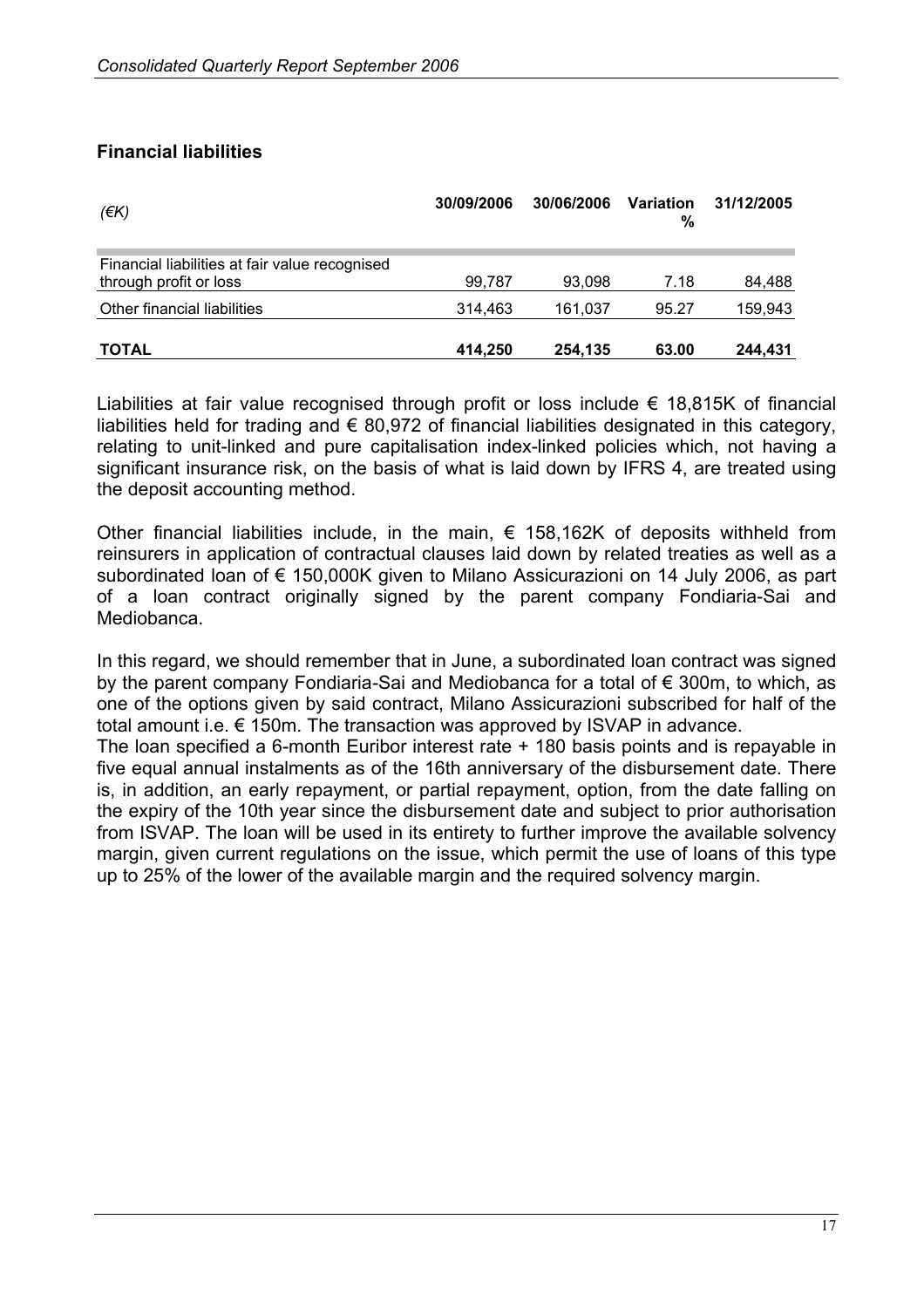#### **Financial liabilities**

| $(\epsilon K)$                                                           | 30/09/2006 | 30/06/2006 | Variation<br>% | 31/12/2005 |
|--------------------------------------------------------------------------|------------|------------|----------------|------------|
| Financial liabilities at fair value recognised<br>through profit or loss | 99.787     | 93,098     | 7.18           | 84,488     |
| Other financial liabilities                                              | 314,463    | 161.037    | 95.27          | 159,943    |
| <b>TOTAL</b>                                                             | 414.250    | 254.135    | 63.00          | 244.431    |

Liabilities at fair value recognised through profit or loss include  $\epsilon$  18,815K of financial liabilities held for trading and  $\epsilon$  80,972 of financial liabilities designated in this category, relating to unit-linked and pure capitalisation index-linked policies which, not having a significant insurance risk, on the basis of what is laid down by IFRS 4, are treated using the deposit accounting method.

Other financial liabilities include, in the main,  $\epsilon$  158,162K of deposits withheld from reinsurers in application of contractual clauses laid down by related treaties as well as a subordinated loan of € 150,000K given to Milano Assicurazioni on 14 July 2006, as part of a loan contract originally signed by the parent company Fondiaria-Sai and Mediobanca.

In this regard, we should remember that in June, a subordinated loan contract was signed by the parent company Fondiaria-Sai and Mediobanca for a total of € 300m, to which, as one of the options given by said contract, Milano Assicurazioni subscribed for half of the total amount i.e. € 150m. The transaction was approved by ISVAP in advance.

The loan specified a 6-month Euribor interest rate + 180 basis points and is repayable in five equal annual instalments as of the 16th anniversary of the disbursement date. There is, in addition, an early repayment, or partial repayment, option, from the date falling on the expiry of the 10th year since the disbursement date and subject to prior authorisation from ISVAP. The loan will be used in its entirety to further improve the available solvency margin, given current regulations on the issue, which permit the use of loans of this type up to 25% of the lower of the available margin and the required solvency margin.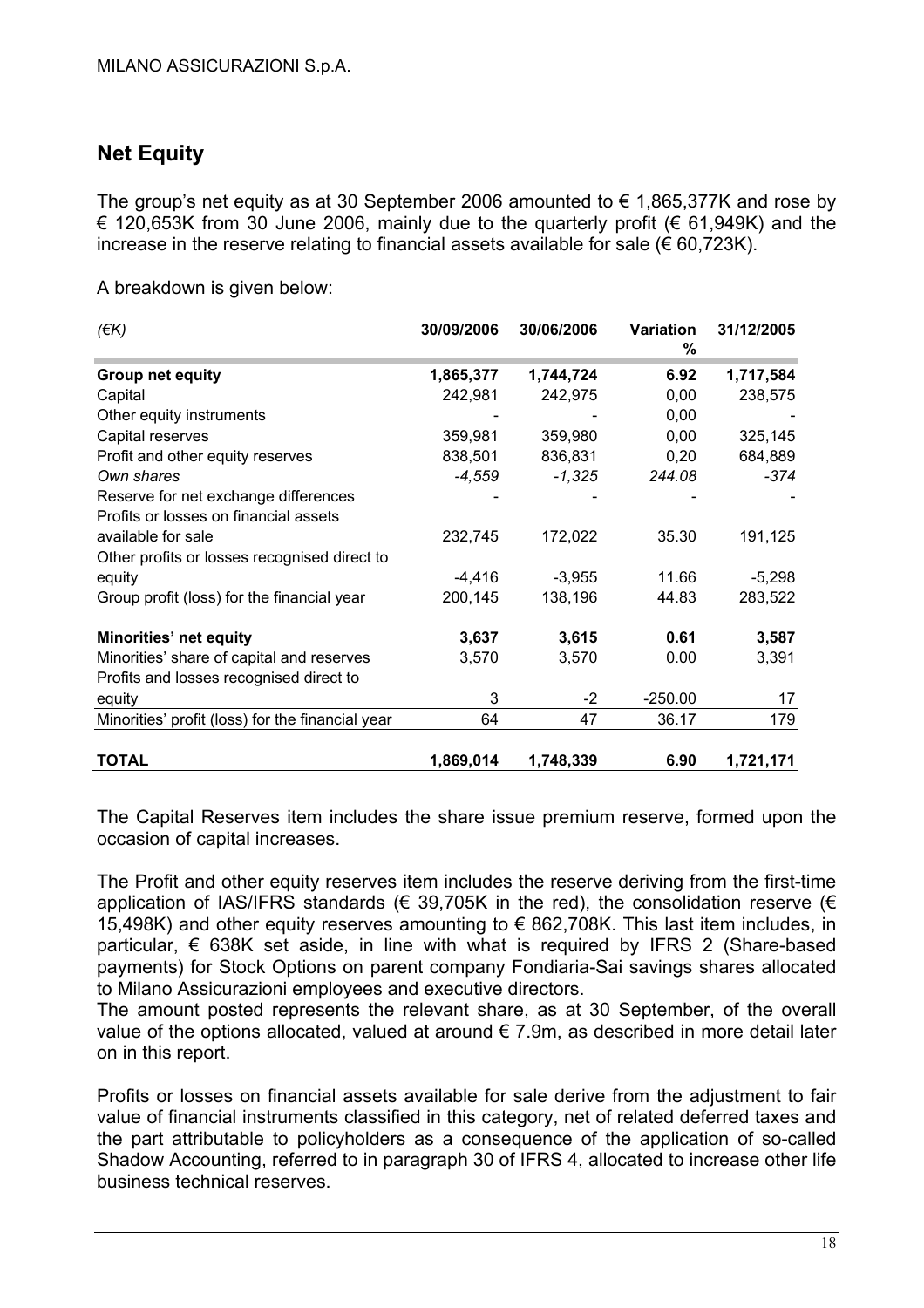# **Net Equity**

The group's net equity as at 30 September 2006 amounted to  $\epsilon$  1,865,377K and rose by € 120,653K from 30 June 2006, mainly due to the quarterly profit (€ 61,949K) and the increase in the reserve relating to financial assets available for sale ( $\epsilon$  60,723K).

A breakdown is given below:

| $(\epsilon K)$                                   | 30/09/2006 | 30/06/2006 | Variation<br>% | 31/12/2005 |
|--------------------------------------------------|------------|------------|----------------|------------|
| <b>Group net equity</b>                          | 1,865,377  | 1,744,724  | 6.92           | 1,717,584  |
| Capital                                          | 242,981    | 242,975    | 0,00           | 238,575    |
| Other equity instruments                         |            |            | 0,00           |            |
| Capital reserves                                 | 359,981    | 359,980    | 0,00           | 325,145    |
| Profit and other equity reserves                 | 838,501    | 836,831    | 0,20           | 684,889    |
| Own shares                                       | $-4,559$   | $-1,325$   | 244.08         | -374       |
| Reserve for net exchange differences             |            |            |                |            |
| Profits or losses on financial assets            |            |            |                |            |
| available for sale                               | 232,745    | 172,022    | 35.30          | 191,125    |
| Other profits or losses recognised direct to     |            |            |                |            |
| equity                                           | $-4,416$   | $-3,955$   | 11.66          | $-5,298$   |
| Group profit (loss) for the financial year       | 200,145    | 138,196    | 44.83          | 283,522    |
| Minorities' net equity                           | 3,637      | 3,615      | 0.61           | 3,587      |
| Minorities' share of capital and reserves        | 3,570      | 3,570      | 0.00           | 3,391      |
| Profits and losses recognised direct to          |            |            |                |            |
| equity                                           | 3          | -2         | $-250.00$      | 17         |
| Minorities' profit (loss) for the financial year | 64         | 47         | 36.17          | 179        |
| <b>TOTAL</b>                                     | 1,869,014  | 1,748,339  | 6.90           | 1,721,171  |

The Capital Reserves item includes the share issue premium reserve, formed upon the occasion of capital increases.

The Profit and other equity reserves item includes the reserve deriving from the first-time application of IAS/IFRS standards ( $\in$  39,705K in the red), the consolidation reserve ( $\in$ 15,498K) and other equity reserves amounting to € 862,708K. This last item includes, in particular, € 638K set aside, in line with what is required by IFRS 2 (Share-based payments) for Stock Options on parent company Fondiaria-Sai savings shares allocated to Milano Assicurazioni employees and executive directors.

The amount posted represents the relevant share, as at 30 September, of the overall value of the options allocated, valued at around  $\epsilon$  7.9m, as described in more detail later on in this report.

Profits or losses on financial assets available for sale derive from the adjustment to fair value of financial instruments classified in this category, net of related deferred taxes and the part attributable to policyholders as a consequence of the application of so-called Shadow Accounting, referred to in paragraph 30 of IFRS 4, allocated to increase other life business technical reserves.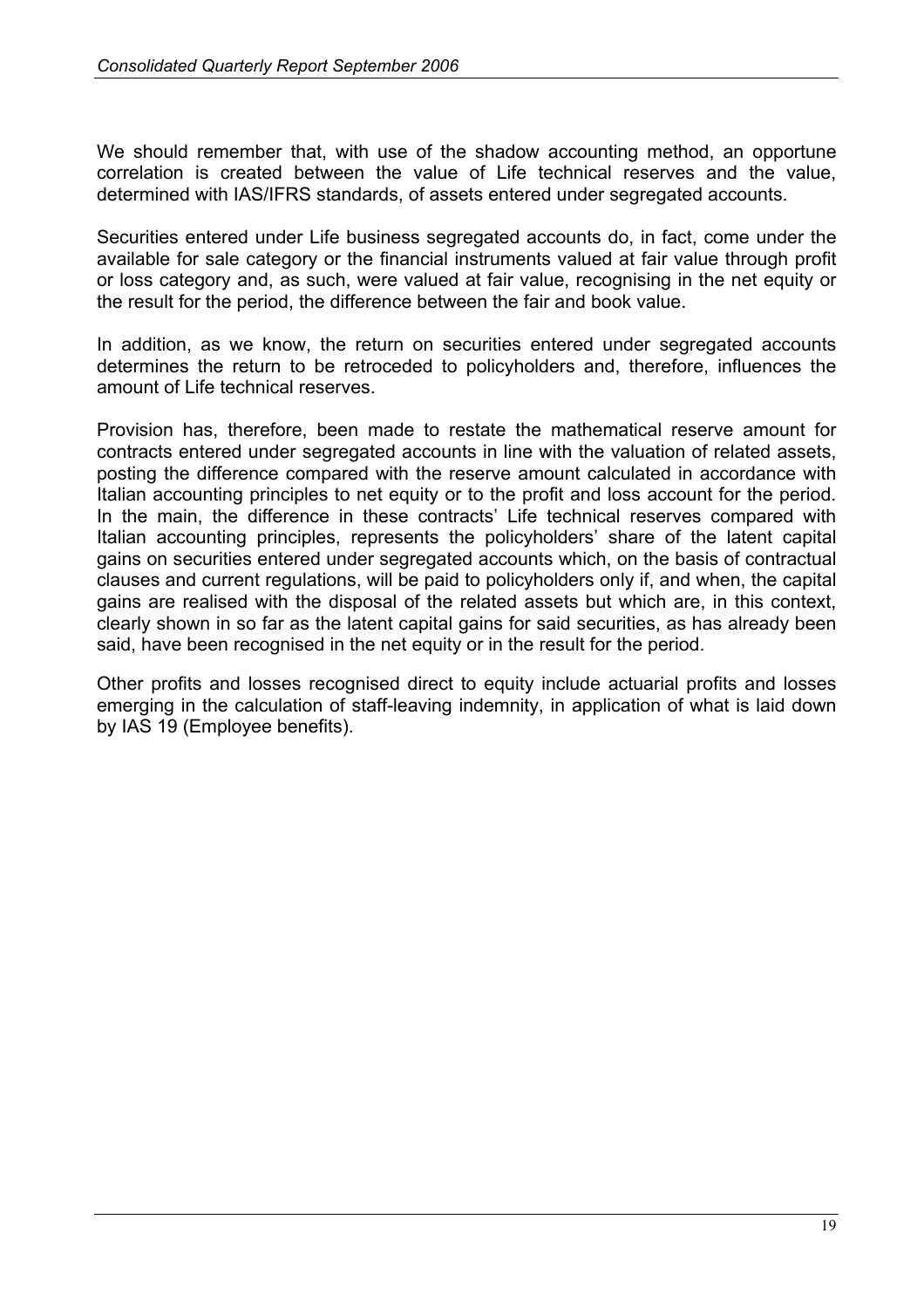We should remember that, with use of the shadow accounting method, an opportune correlation is created between the value of Life technical reserves and the value, determined with IAS/IFRS standards, of assets entered under segregated accounts.

Securities entered under Life business segregated accounts do, in fact, come under the available for sale category or the financial instruments valued at fair value through profit or loss category and, as such, were valued at fair value, recognising in the net equity or the result for the period, the difference between the fair and book value.

In addition, as we know, the return on securities entered under segregated accounts determines the return to be retroceded to policyholders and, therefore, influences the amount of Life technical reserves.

Provision has, therefore, been made to restate the mathematical reserve amount for contracts entered under segregated accounts in line with the valuation of related assets, posting the difference compared with the reserve amount calculated in accordance with Italian accounting principles to net equity or to the profit and loss account for the period. In the main, the difference in these contracts' Life technical reserves compared with Italian accounting principles, represents the policyholders' share of the latent capital gains on securities entered under segregated accounts which, on the basis of contractual clauses and current regulations, will be paid to policyholders only if, and when, the capital gains are realised with the disposal of the related assets but which are, in this context, clearly shown in so far as the latent capital gains for said securities, as has already been said, have been recognised in the net equity or in the result for the period.

Other profits and losses recognised direct to equity include actuarial profits and losses emerging in the calculation of staff-leaving indemnity, in application of what is laid down by IAS 19 (Employee benefits).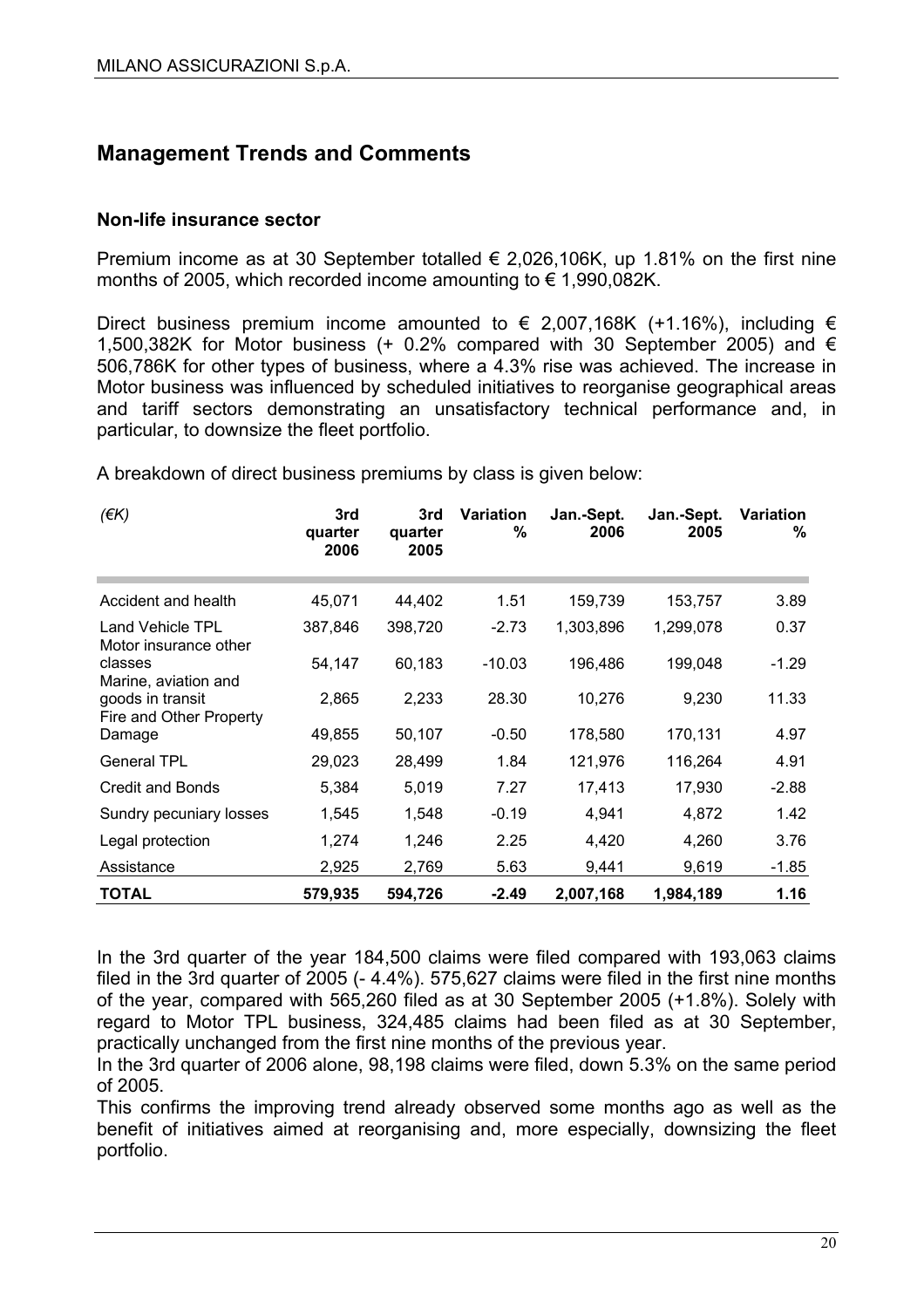# **Management Trends and Comments**

#### **Non-life insurance sector**

Premium income as at 30 September totalled  $\epsilon$  2,026,106K, up 1.81% on the first nine months of 2005, which recorded income amounting to € 1,990,082K.

Direct business premium income amounted to  $\epsilon$  2,007,168K (+1.16%), including  $\epsilon$ 1,500,382K for Motor business (+ 0.2% compared with 30 September 2005) and  $\epsilon$ 506,786K for other types of business, where a 4.3% rise was achieved. The increase in Motor business was influenced by scheduled initiatives to reorganise geographical areas and tariff sectors demonstrating an unsatisfactory technical performance and, in particular, to downsize the fleet portfolio.

A breakdown of direct business premiums by class is given below:

| (EK)                                                                | 3rd<br>quarter<br>2006 | 3rd<br>quarter<br>2005 | <b>Variation</b><br>% | Jan.-Sept.<br>2006 | Jan.-Sept.<br>2005 | Variation<br>% |
|---------------------------------------------------------------------|------------------------|------------------------|-----------------------|--------------------|--------------------|----------------|
| Accident and health                                                 | 45,071                 | 44,402                 | 1.51                  | 159,739            | 153,757            | 3.89           |
| <b>Land Vehicle TPL</b><br>Motor insurance other                    | 387,846                | 398,720                | $-2.73$               | 1,303,896          | 1,299,078          | 0.37           |
| classes                                                             | 54,147                 | 60,183                 | $-10.03$              | 196,486            | 199,048            | $-1.29$        |
| Marine, aviation and<br>goods in transit<br>Fire and Other Property | 2,865                  | 2,233                  | 28.30                 | 10,276             | 9,230              | 11.33          |
| Damage                                                              | 49,855                 | 50,107                 | $-0.50$               | 178,580            | 170,131            | 4.97           |
| <b>General TPL</b>                                                  | 29,023                 | 28,499                 | 1.84                  | 121,976            | 116,264            | 4.91           |
| <b>Credit and Bonds</b>                                             | 5,384                  | 5,019                  | 7.27                  | 17,413             | 17,930             | $-2.88$        |
| Sundry pecuniary losses                                             | 1,545                  | 1,548                  | $-0.19$               | 4,941              | 4,872              | 1.42           |
| Legal protection                                                    | 1,274                  | 1,246                  | 2.25                  | 4,420              | 4,260              | 3.76           |
| Assistance                                                          | 2,925                  | 2,769                  | 5.63                  | 9,441              | 9,619              | $-1.85$        |
| TOTAL                                                               | 579,935                | 594,726                | $-2.49$               | 2,007,168          | 1,984,189          | 1.16           |

In the 3rd quarter of the year 184,500 claims were filed compared with 193,063 claims filed in the 3rd quarter of 2005 (- 4.4%). 575,627 claims were filed in the first nine months of the year, compared with 565,260 filed as at 30 September 2005 (+1.8%). Solely with regard to Motor TPL business, 324,485 claims had been filed as at 30 September, practically unchanged from the first nine months of the previous year.

In the 3rd quarter of 2006 alone, 98,198 claims were filed, down 5.3% on the same period of 2005.

This confirms the improving trend already observed some months ago as well as the benefit of initiatives aimed at reorganising and, more especially, downsizing the fleet portfolio.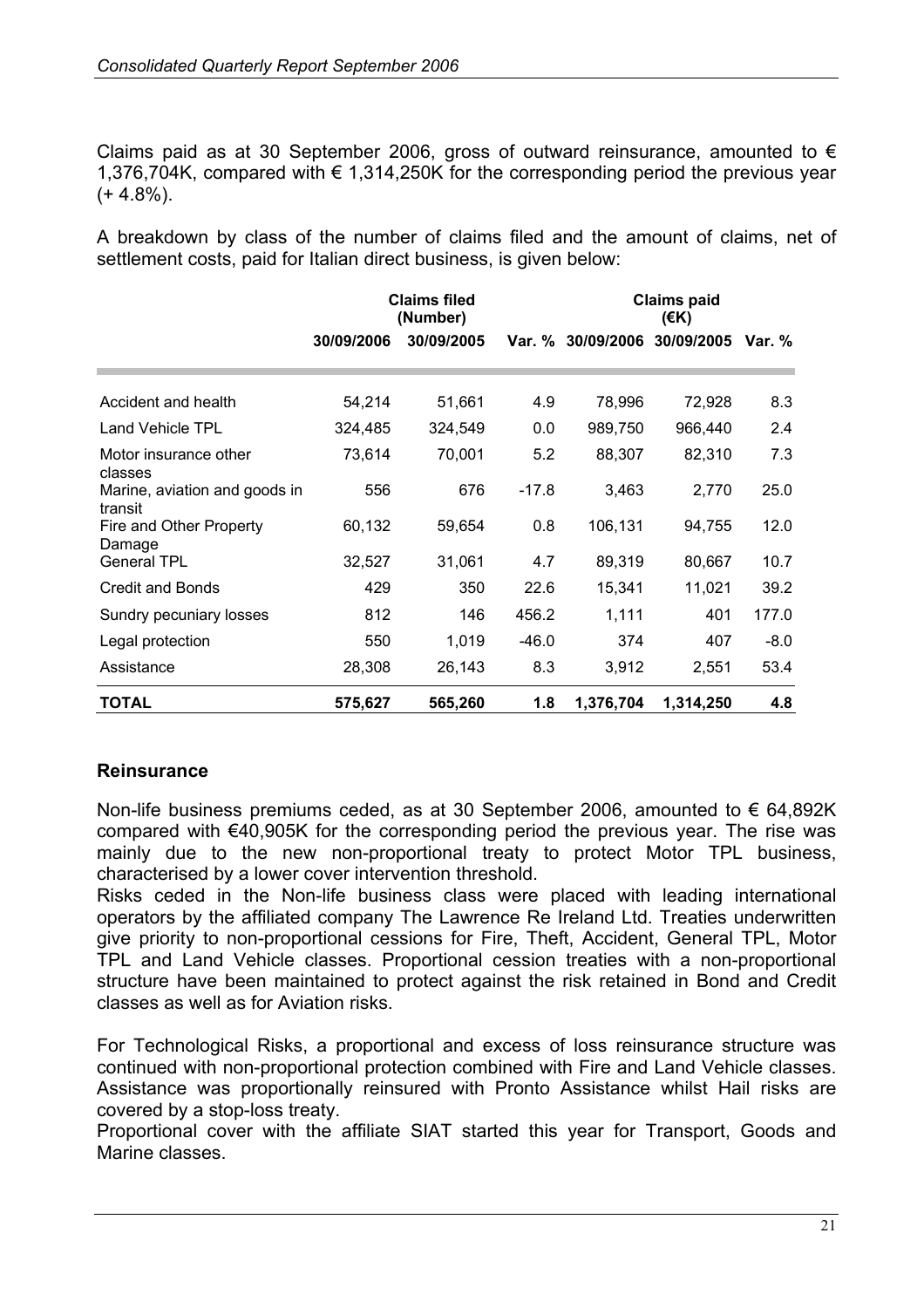Claims paid as at 30 September 2006, gross of outward reinsurance, amounted to  $\epsilon$ 1,376,704K, compared with € 1,314,250K for the corresponding period the previous year  $(+ 4.8\%)$ .

A breakdown by class of the number of claims filed and the amount of claims, net of settlement costs, paid for Italian direct business, is given below:

|                                          | <b>Claims filed</b><br>(Number) |            |         | <b>Claims paid</b><br>$($ €K) |           |        |  |  |
|------------------------------------------|---------------------------------|------------|---------|-------------------------------|-----------|--------|--|--|
|                                          | 30/09/2006                      | 30/09/2005 |         | Var. % 30/09/2006 30/09/2005  |           | Var. % |  |  |
|                                          |                                 |            |         |                               |           |        |  |  |
| Accident and health                      | 54,214                          | 51,661     | 4.9     | 78,996                        | 72,928    | 8.3    |  |  |
| Land Vehicle TPL                         | 324,485                         | 324,549    | 0.0     | 989,750                       | 966,440   | 2.4    |  |  |
| Motor insurance other<br>classes         | 73,614                          | 70,001     | 5.2     | 88,307                        | 82,310    | 7.3    |  |  |
| Marine, aviation and goods in<br>transit | 556                             | 676        | $-17.8$ | 3,463                         | 2,770     | 25.0   |  |  |
| Fire and Other Property<br>Damage        | 60,132                          | 59,654     | 0.8     | 106,131                       | 94,755    | 12.0   |  |  |
| <b>General TPL</b>                       | 32,527                          | 31,061     | 4.7     | 89,319                        | 80,667    | 10.7   |  |  |
| <b>Credit and Bonds</b>                  | 429                             | 350        | 22.6    | 15,341                        | 11,021    | 39.2   |  |  |
| Sundry pecuniary losses                  | 812                             | 146        | 456.2   | 1,111                         | 401       | 177.0  |  |  |
| Legal protection                         | 550                             | 1,019      | $-46.0$ | 374                           | 407       | $-8.0$ |  |  |
| Assistance                               | 28,308                          | 26,143     | 8.3     | 3,912                         | 2,551     | 53.4   |  |  |
| <b>TOTAL</b>                             | 575,627                         | 565,260    | 1.8     | 1,376,704                     | 1,314,250 | 4.8    |  |  |

#### **Reinsurance**

Non-life business premiums ceded, as at 30 September 2006, amounted to € 64,892K compared with €40,905K for the corresponding period the previous year. The rise was mainly due to the new non-proportional treaty to protect Motor TPL business, characterised by a lower cover intervention threshold.

Risks ceded in the Non-life business class were placed with leading international operators by the affiliated company The Lawrence Re Ireland Ltd. Treaties underwritten give priority to non-proportional cessions for Fire, Theft, Accident, General TPL, Motor TPL and Land Vehicle classes. Proportional cession treaties with a non-proportional structure have been maintained to protect against the risk retained in Bond and Credit classes as well as for Aviation risks.

For Technological Risks, a proportional and excess of loss reinsurance structure was continued with non-proportional protection combined with Fire and Land Vehicle classes. Assistance was proportionally reinsured with Pronto Assistance whilst Hail risks are covered by a stop-loss treaty.

Proportional cover with the affiliate SIAT started this year for Transport, Goods and Marine classes.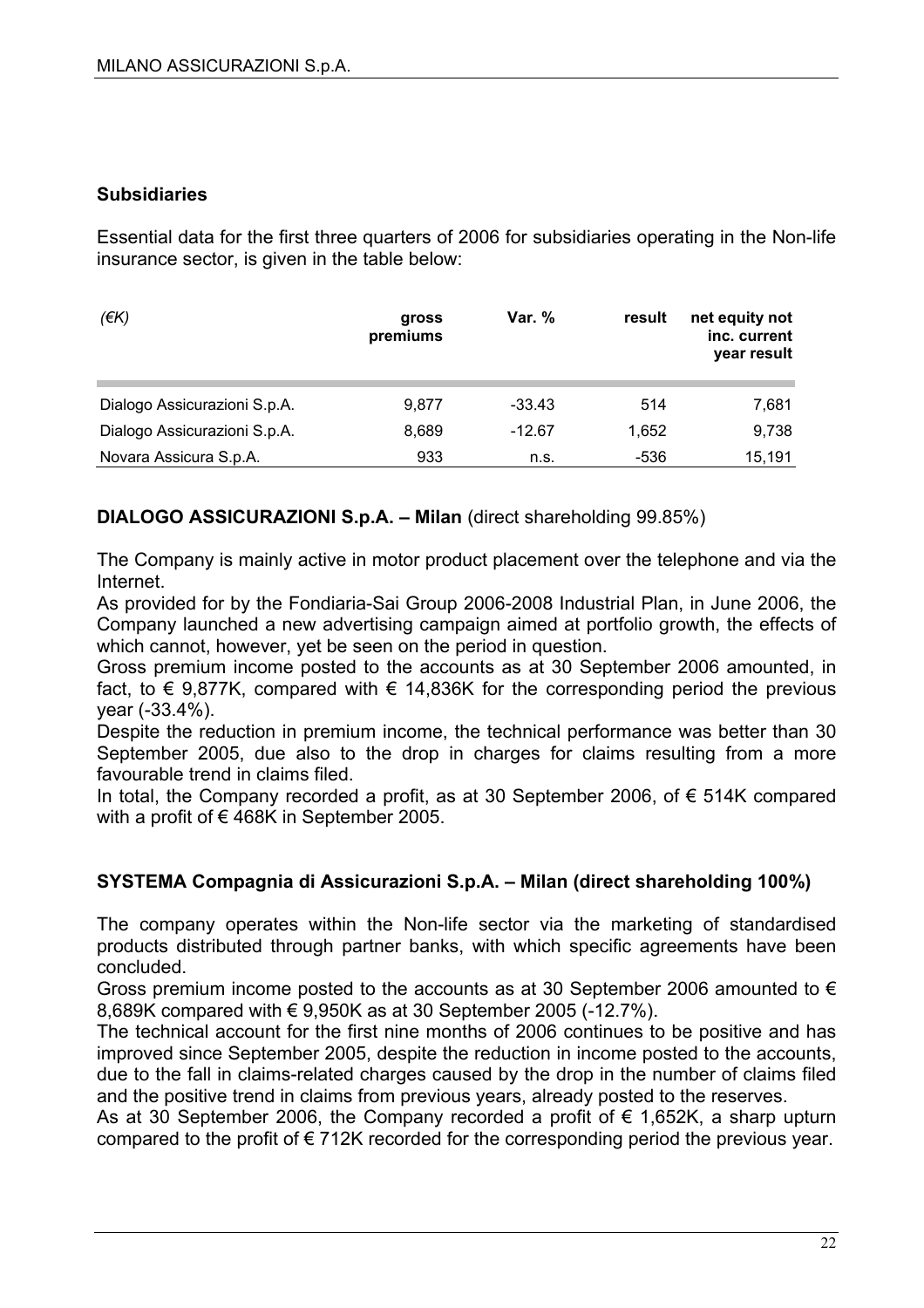#### **Subsidiaries**

Essential data for the first three quarters of 2006 for subsidiaries operating in the Non-life insurance sector, is given in the table below:

| (EK)                         | gross<br>premiums | Var. %   | result | net equity not<br>inc. current<br>year result |
|------------------------------|-------------------|----------|--------|-----------------------------------------------|
| Dialogo Assicurazioni S.p.A. | 9.877             | $-33.43$ | 514    | 7,681                                         |
| Dialogo Assicurazioni S.p.A. | 8,689             | $-12.67$ | 1,652  | 9,738                                         |
| Novara Assicura S.p.A.       | 933               | n.s.     | -536   | 15,191                                        |

**DIALOGO ASSICURAZIONI S.p.A. – Milan** (direct shareholding 99.85%)

The Company is mainly active in motor product placement over the telephone and via the Internet.

As provided for by the Fondiaria-Sai Group 2006-2008 Industrial Plan, in June 2006, the Company launched a new advertising campaign aimed at portfolio growth, the effects of which cannot, however, yet be seen on the period in question.

Gross premium income posted to the accounts as at 30 September 2006 amounted, in fact, to  $\epsilon$  9,877K, compared with  $\epsilon$  14,836K for the corresponding period the previous year (-33.4%).

Despite the reduction in premium income, the technical performance was better than 30 September 2005, due also to the drop in charges for claims resulting from a more favourable trend in claims filed.

In total, the Company recorded a profit, as at 30 September 2006, of € 514K compared with a profit of €468K in September 2005.

### **SYSTEMA Compagnia di Assicurazioni S.p.A. – Milan (direct shareholding 100%)**

The company operates within the Non-life sector via the marketing of standardised products distributed through partner banks, with which specific agreements have been concluded.

Gross premium income posted to the accounts as at 30 September 2006 amounted to  $\epsilon$ 8,689K compared with € 9,950K as at 30 September 2005 (-12.7%).

The technical account for the first nine months of 2006 continues to be positive and has improved since September 2005, despite the reduction in income posted to the accounts, due to the fall in claims-related charges caused by the drop in the number of claims filed and the positive trend in claims from previous years, already posted to the reserves.

As at 30 September 2006, the Company recorded a profit of  $\epsilon$  1,652K, a sharp upturn compared to the profit of  $\epsilon$  712K recorded for the corresponding period the previous year.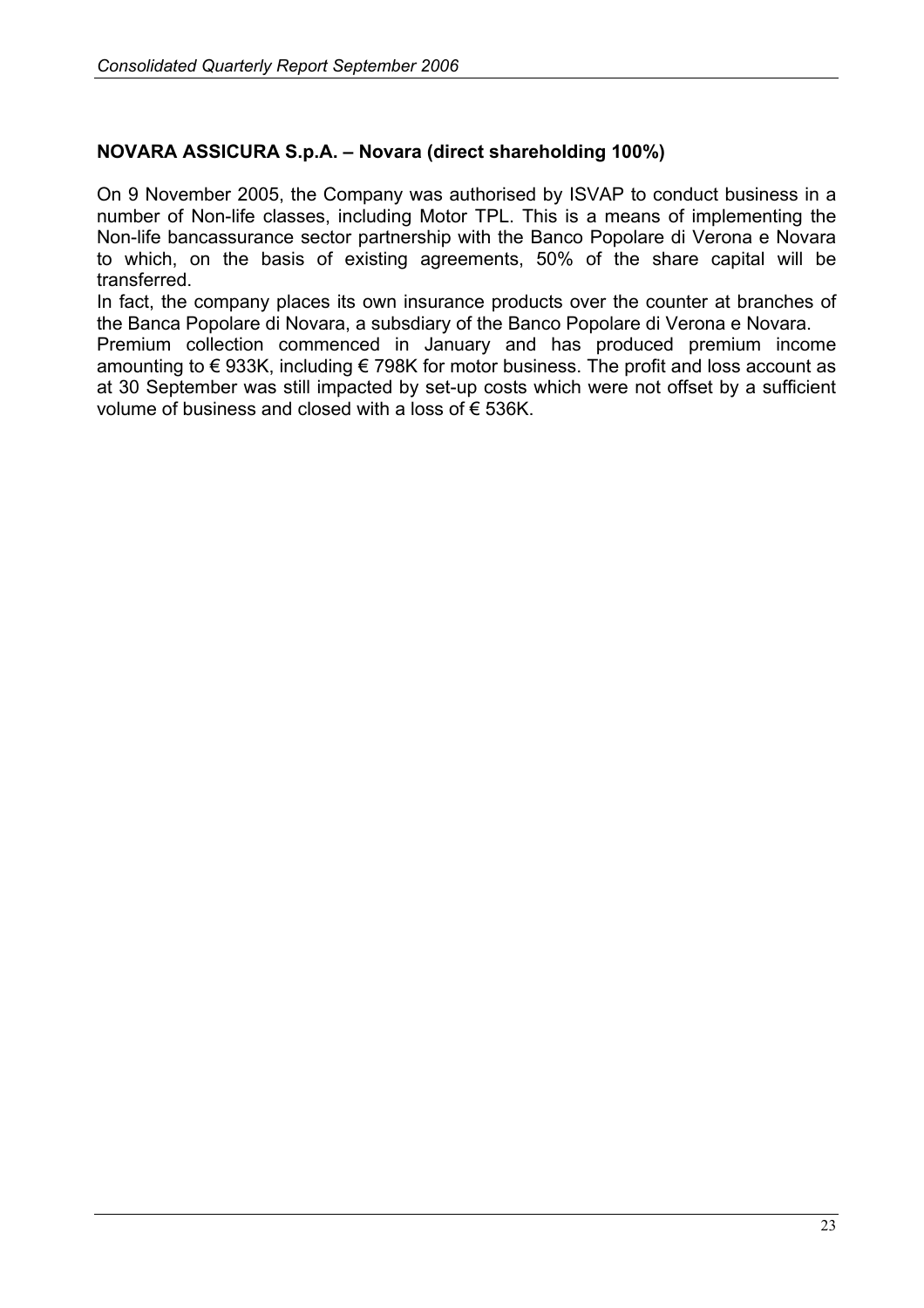#### **NOVARA ASSICURA S.p.A. – Novara (direct shareholding 100%)**

On 9 November 2005, the Company was authorised by ISVAP to conduct business in a number of Non-life classes, including Motor TPL. This is a means of implementing the Non-life bancassurance sector partnership with the Banco Popolare di Verona e Novara to which, on the basis of existing agreements, 50% of the share capital will be transferred.

In fact, the company places its own insurance products over the counter at branches of the Banca Popolare di Novara, a subsdiary of the Banco Popolare di Verona e Novara. Premium collection commenced in January and has produced premium income amounting to € 933K, including € 798K for motor business. The profit and loss account as at 30 September was still impacted by set-up costs which were not offset by a sufficient volume of business and closed with a loss of € 536K.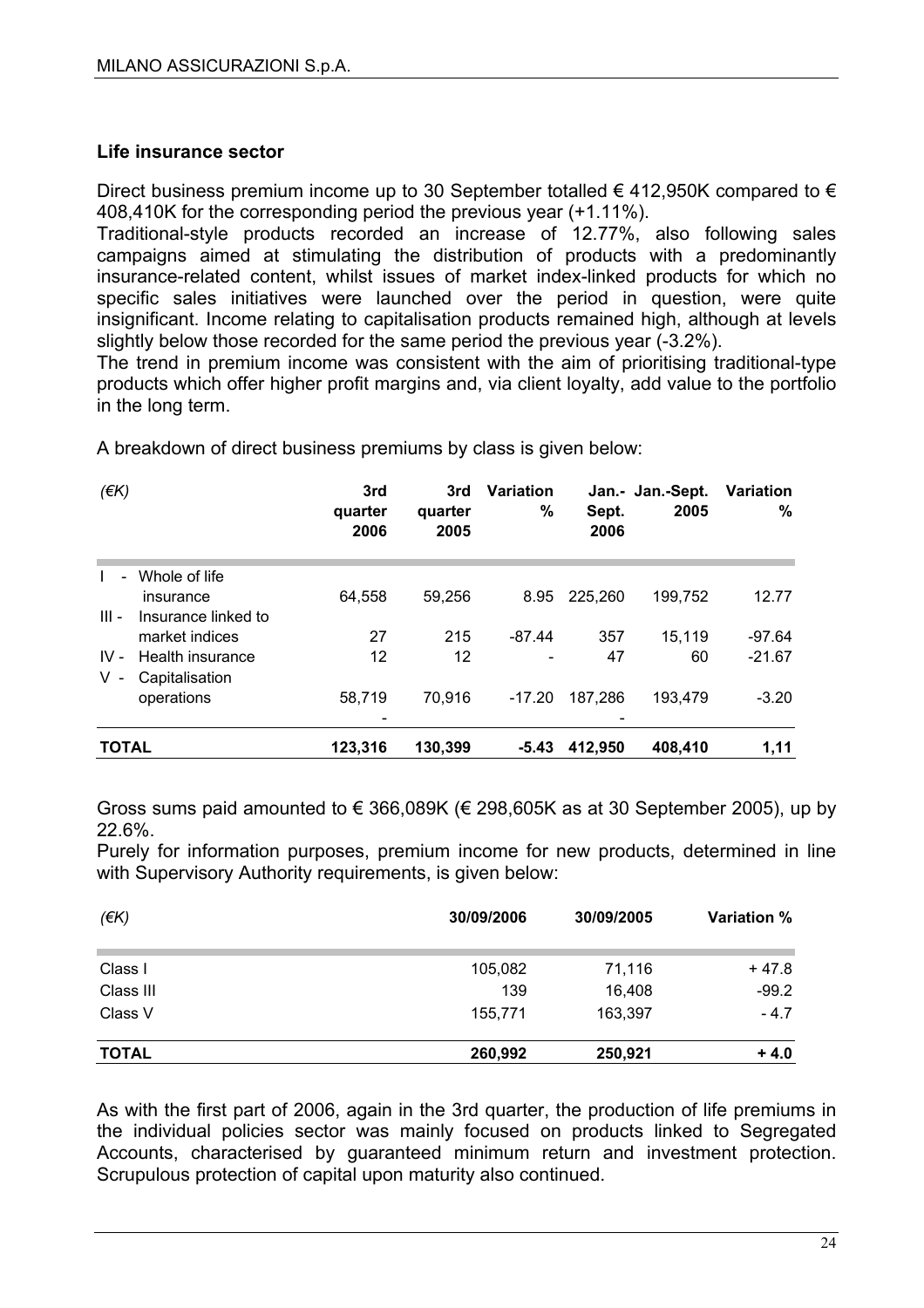#### **Life insurance sector**

Direct business premium income up to 30 September totalled  $\epsilon$  412,950K compared to  $\epsilon$ 408,410K for the corresponding period the previous year (+1.11%).

Traditional-style products recorded an increase of 12.77%, also following sales campaigns aimed at stimulating the distribution of products with a predominantly insurance-related content, whilst issues of market index-linked products for which no specific sales initiatives were launched over the period in question, were quite insignificant. Income relating to capitalisation products remained high, although at levels slightly below those recorded for the same period the previous year (-3.2%).

The trend in premium income was consistent with the aim of prioritising traditional-type products which offer higher profit margins and, via client loyalty, add value to the portfolio in the long term.

A breakdown of direct business premiums by class is given below:

| $($ $\notin$ K $)$ |                     | 3rd<br>quarter<br>2006 | 3rd<br>quarter<br>2005 | <b>Variation</b><br>%    | Sept.<br>2006 | Jan.- Jan.-Sept.<br>2005 | <b>Variation</b><br>$\%$ |
|--------------------|---------------------|------------------------|------------------------|--------------------------|---------------|--------------------------|--------------------------|
| $\blacksquare$     | Whole of life       |                        |                        |                          |               |                          |                          |
|                    | insurance           | 64,558                 | 59,256                 | 8.95                     | 225,260       | 199,752                  | 12.77                    |
| $III -$            | Insurance linked to |                        |                        |                          |               |                          |                          |
|                    | market indices      | 27                     | 215                    | $-87.44$                 | 357           | 15,119                   | $-97.64$                 |
| $IV -$             | Health insurance    | 12                     | 12                     | $\overline{\phantom{a}}$ | 47            | 60                       | $-21.67$                 |
| V                  | Capitalisation      |                        |                        |                          |               |                          |                          |
|                    | operations          | 58,719                 | 70.916                 | -17.20                   | 187.286       | 193.479                  | $-3.20$                  |
|                    |                     |                        |                        |                          |               |                          |                          |
| <b>TOTAL</b>       |                     | 123,316                | 130,399                | $-5.43$                  | 412.950       | 408,410                  | 1,11                     |

Gross sums paid amounted to  $\epsilon$  366,089K ( $\epsilon$  298,605K as at 30 September 2005), up by 22.6%.

Purely for information purposes, premium income for new products, determined in line with Supervisory Authority requirements, is given below:

| $(\epsilon K)$ | 30/09/2006 | 30/09/2005 | <b>Variation %</b> |  |
|----------------|------------|------------|--------------------|--|
| Class I        | 105,082    | 71,116     | $+47.8$            |  |
| Class III      | 139        | 16,408     | $-99.2$            |  |
| Class V        | 155,771    | 163,397    | $-4.7$             |  |
| <b>TOTAL</b>   | 260,992    | 250,921    | $+4.0$             |  |

As with the first part of 2006, again in the 3rd quarter, the production of life premiums in the individual policies sector was mainly focused on products linked to Segregated Accounts, characterised by guaranteed minimum return and investment protection. Scrupulous protection of capital upon maturity also continued.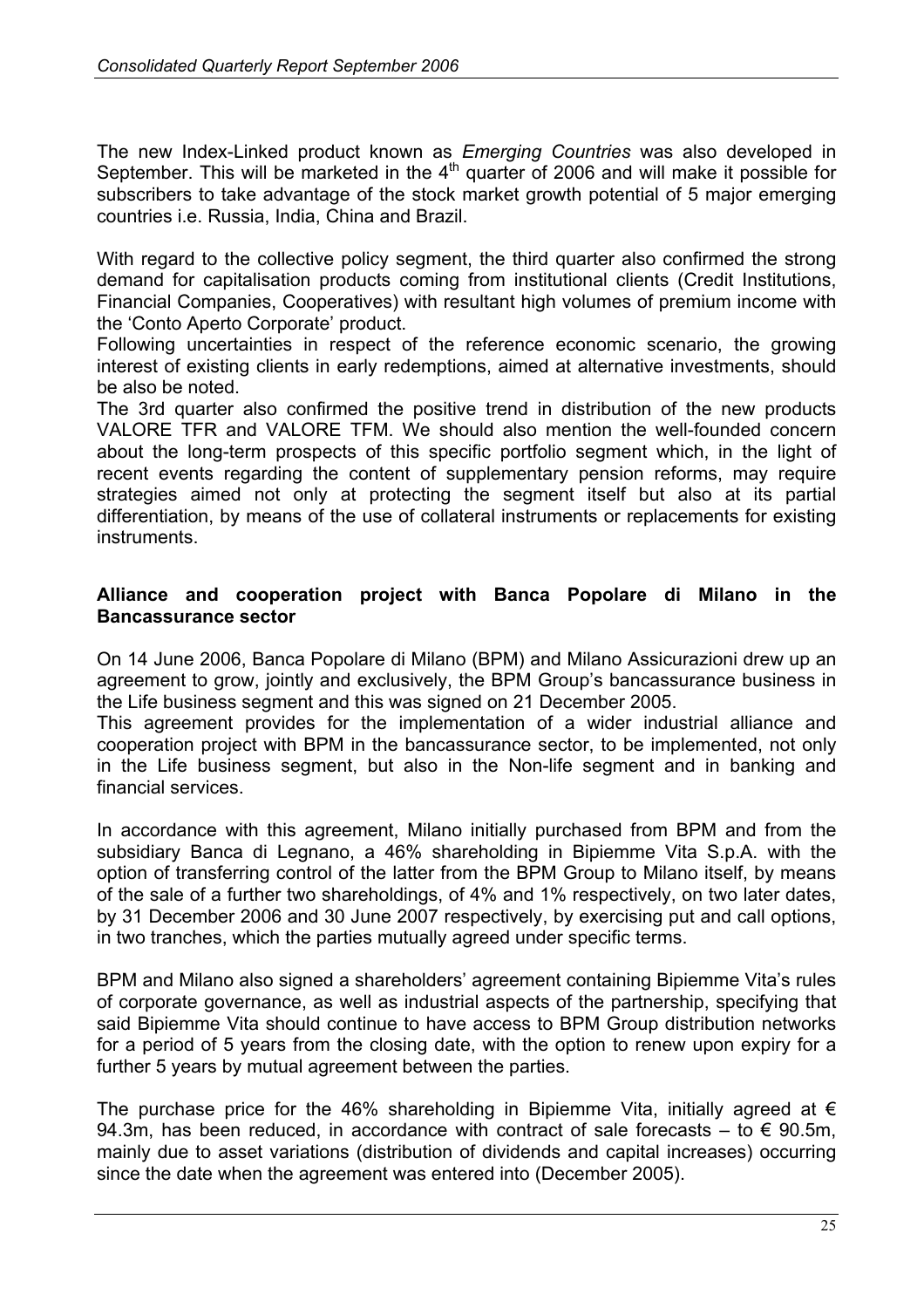The new Index-Linked product known as *Emerging Countries* was also developed in September. This will be marketed in the  $4<sup>th</sup>$  quarter of 2006 and will make it possible for subscribers to take advantage of the stock market growth potential of 5 major emerging countries i.e. Russia, India, China and Brazil.

With regard to the collective policy segment, the third quarter also confirmed the strong demand for capitalisation products coming from institutional clients (Credit Institutions, Financial Companies, Cooperatives) with resultant high volumes of premium income with the 'Conto Aperto Corporate' product.

Following uncertainties in respect of the reference economic scenario, the growing interest of existing clients in early redemptions, aimed at alternative investments, should be also be noted.

The 3rd quarter also confirmed the positive trend in distribution of the new products VALORE TFR and VALORE TFM. We should also mention the well-founded concern about the long-term prospects of this specific portfolio segment which, in the light of recent events regarding the content of supplementary pension reforms, may require strategies aimed not only at protecting the segment itself but also at its partial differentiation, by means of the use of collateral instruments or replacements for existing **instruments** 

#### **Alliance and cooperation project with Banca Popolare di Milano in the Bancassurance sector**

On 14 June 2006, Banca Popolare di Milano (BPM) and Milano Assicurazioni drew up an agreement to grow, jointly and exclusively, the BPM Group's bancassurance business in the Life business segment and this was signed on 21 December 2005.

This agreement provides for the implementation of a wider industrial alliance and cooperation project with BPM in the bancassurance sector, to be implemented, not only in the Life business segment, but also in the Non-life segment and in banking and financial services.

In accordance with this agreement, Milano initially purchased from BPM and from the subsidiary Banca di Legnano, a 46% shareholding in Bipiemme Vita S.p.A. with the option of transferring control of the latter from the BPM Group to Milano itself, by means of the sale of a further two shareholdings, of 4% and 1% respectively, on two later dates, by 31 December 2006 and 30 June 2007 respectively, by exercising put and call options, in two tranches, which the parties mutually agreed under specific terms.

BPM and Milano also signed a shareholders' agreement containing Bipiemme Vita's rules of corporate governance, as well as industrial aspects of the partnership, specifying that said Bipiemme Vita should continue to have access to BPM Group distribution networks for a period of 5 years from the closing date, with the option to renew upon expiry for a further 5 years by mutual agreement between the parties.

The purchase price for the 46% shareholding in Bipiemme Vita, initially agreed at  $\epsilon$ 94.3m, has been reduced, in accordance with contract of sale forecasts – to  $\epsilon$  90.5m, mainly due to asset variations (distribution of dividends and capital increases) occurring since the date when the agreement was entered into (December 2005).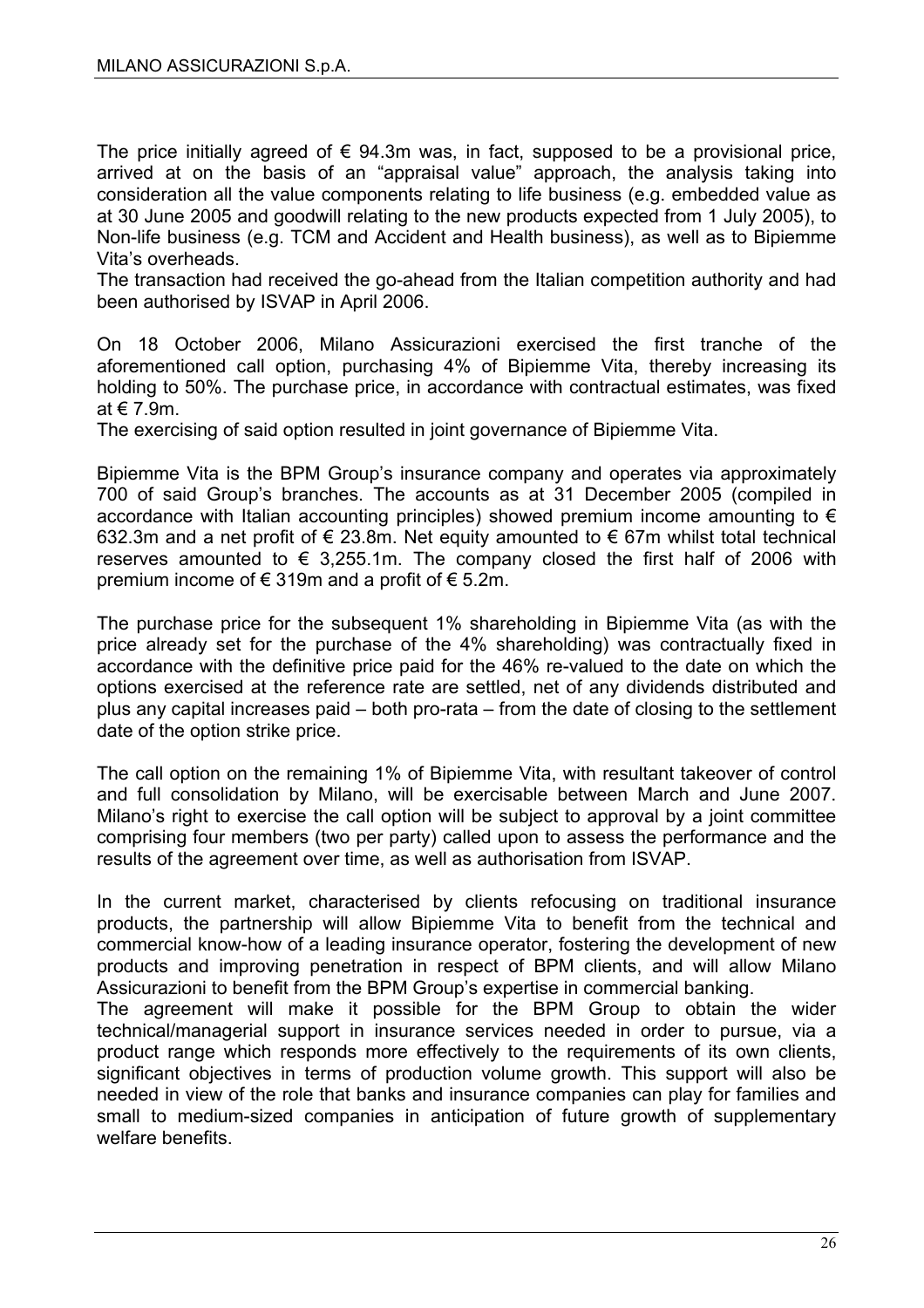The price initially agreed of  $\epsilon$  94.3m was, in fact, supposed to be a provisional price, arrived at on the basis of an "appraisal value" approach, the analysis taking into consideration all the value components relating to life business (e.g. embedded value as at 30 June 2005 and goodwill relating to the new products expected from 1 July 2005), to Non-life business (e.g. TCM and Accident and Health business), as well as to Bipiemme Vita's overheads.

The transaction had received the go-ahead from the Italian competition authority and had been authorised by ISVAP in April 2006.

On 18 October 2006, Milano Assicurazioni exercised the first tranche of the aforementioned call option, purchasing 4% of Bipiemme Vita, thereby increasing its holding to 50%. The purchase price, in accordance with contractual estimates, was fixed at € 7.9m.

The exercising of said option resulted in joint governance of Bipiemme Vita.

Bipiemme Vita is the BPM Group's insurance company and operates via approximately 700 of said Group's branches. The accounts as at 31 December 2005 (compiled in accordance with Italian accounting principles) showed premium income amounting to  $\epsilon$ 632.3m and a net profit of € 23.8m. Net equity amounted to € 67m whilst total technical reserves amounted to  $\epsilon$  3,255.1m. The company closed the first half of 2006 with premium income of  $\epsilon$  319m and a profit of  $\epsilon$  5.2m.

The purchase price for the subsequent 1% shareholding in Bipiemme Vita (as with the price already set for the purchase of the 4% shareholding) was contractually fixed in accordance with the definitive price paid for the 46% re-valued to the date on which the options exercised at the reference rate are settled, net of any dividends distributed and plus any capital increases paid – both pro-rata – from the date of closing to the settlement date of the option strike price.

The call option on the remaining 1% of Bipiemme Vita, with resultant takeover of control and full consolidation by Milano, will be exercisable between March and June 2007. Milano's right to exercise the call option will be subject to approval by a joint committee comprising four members (two per party) called upon to assess the performance and the results of the agreement over time, as well as authorisation from ISVAP.

In the current market, characterised by clients refocusing on traditional insurance products, the partnership will allow Bipiemme Vita to benefit from the technical and commercial know-how of a leading insurance operator, fostering the development of new products and improving penetration in respect of BPM clients, and will allow Milano Assicurazioni to benefit from the BPM Group's expertise in commercial banking.

The agreement will make it possible for the BPM Group to obtain the wider technical/managerial support in insurance services needed in order to pursue, via a product range which responds more effectively to the requirements of its own clients, significant objectives in terms of production volume growth. This support will also be needed in view of the role that banks and insurance companies can play for families and small to medium-sized companies in anticipation of future growth of supplementary welfare benefits.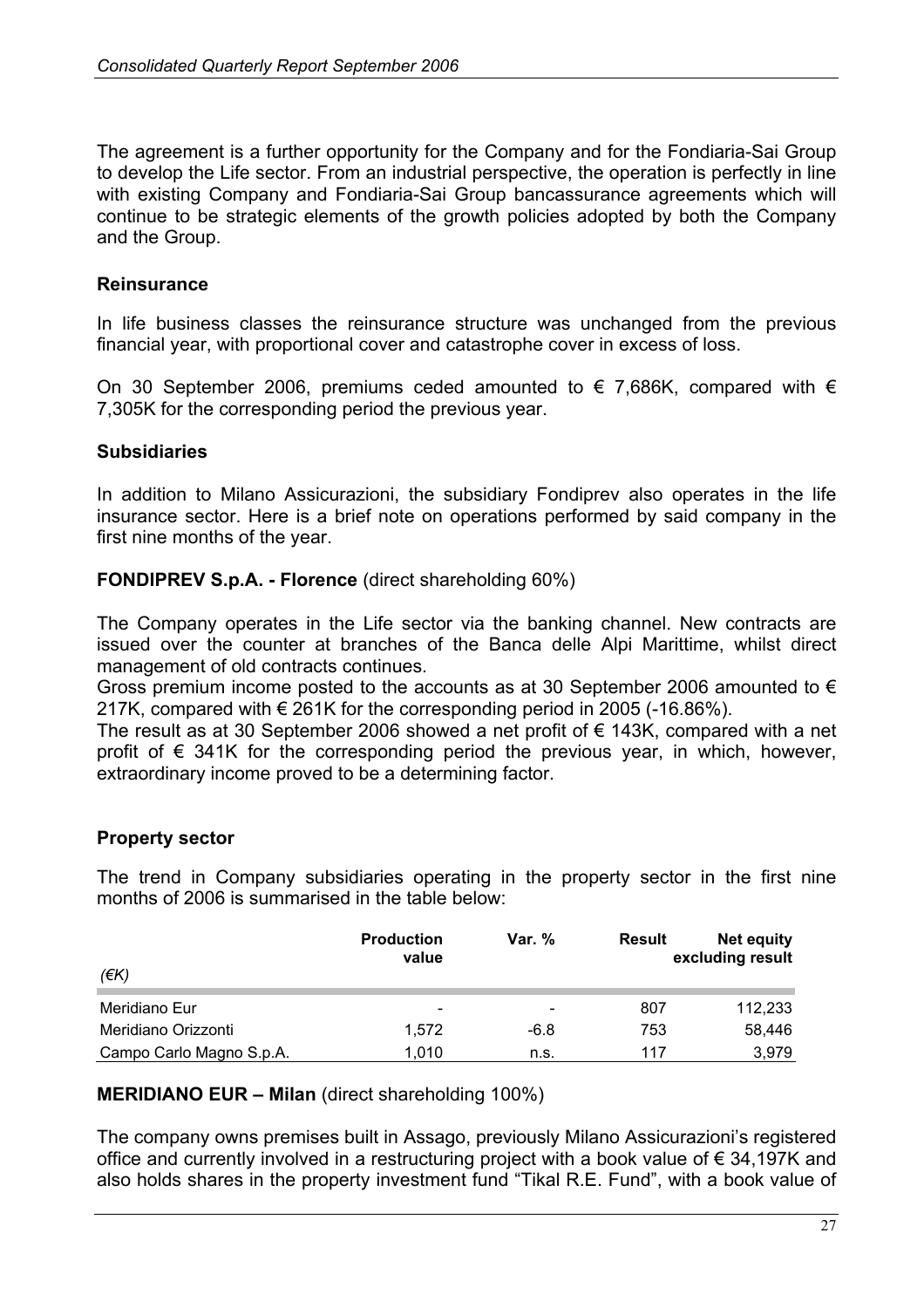The agreement is a further opportunity for the Company and for the Fondiaria-Sai Group to develop the Life sector. From an industrial perspective, the operation is perfectly in line with existing Company and Fondiaria-Sai Group bancassurance agreements which will continue to be strategic elements of the growth policies adopted by both the Company and the Group.

#### **Reinsurance**

In life business classes the reinsurance structure was unchanged from the previous financial year, with proportional cover and catastrophe cover in excess of loss.

On 30 September 2006, premiums ceded amounted to  $\epsilon$  7,686K, compared with  $\epsilon$ 7,305K for the corresponding period the previous year.

#### **Subsidiaries**

In addition to Milano Assicurazioni, the subsidiary Fondiprev also operates in the life insurance sector. Here is a brief note on operations performed by said company in the first nine months of the year.

**FONDIPREV S.p.A. - Florence** (direct shareholding 60%)

The Company operates in the Life sector via the banking channel. New contracts are issued over the counter at branches of the Banca delle Alpi Marittime, whilst direct management of old contracts continues.

Gross premium income posted to the accounts as at 30 September 2006 amounted to  $\epsilon$ 217K, compared with € 261K for the corresponding period in 2005 (-16.86%).

The result as at 30 September 2006 showed a net profit of  $\epsilon$  143K, compared with a net profit of  $\epsilon$  341K for the corresponding period the previous year, in which, however, extraordinary income proved to be a determining factor.

### **Property sector**

The trend in Company subsidiaries operating in the property sector in the first nine months of 2006 is summarised in the table below:

| (€K)                     | <b>Production</b><br>value | Var. $%$                 | Result | <b>Net equity</b><br>excluding result |
|--------------------------|----------------------------|--------------------------|--------|---------------------------------------|
| Meridiano Eur            | $\overline{\phantom{a}}$   | $\overline{\phantom{a}}$ | 807    | 112,233                               |
| Meridiano Orizzonti      | 1.572                      | $-6.8$                   | 753    | 58,446                                |
| Campo Carlo Magno S.p.A. | 1.010                      | n.s.                     | 117    | 3,979                                 |

#### **MERIDIANO EUR – Milan** (direct shareholding 100%)

The company owns premises built in Assago, previously Milano Assicurazioni's registered office and currently involved in a restructuring project with a book value of € 34,197K and also holds shares in the property investment fund "Tikal R.E. Fund", with a book value of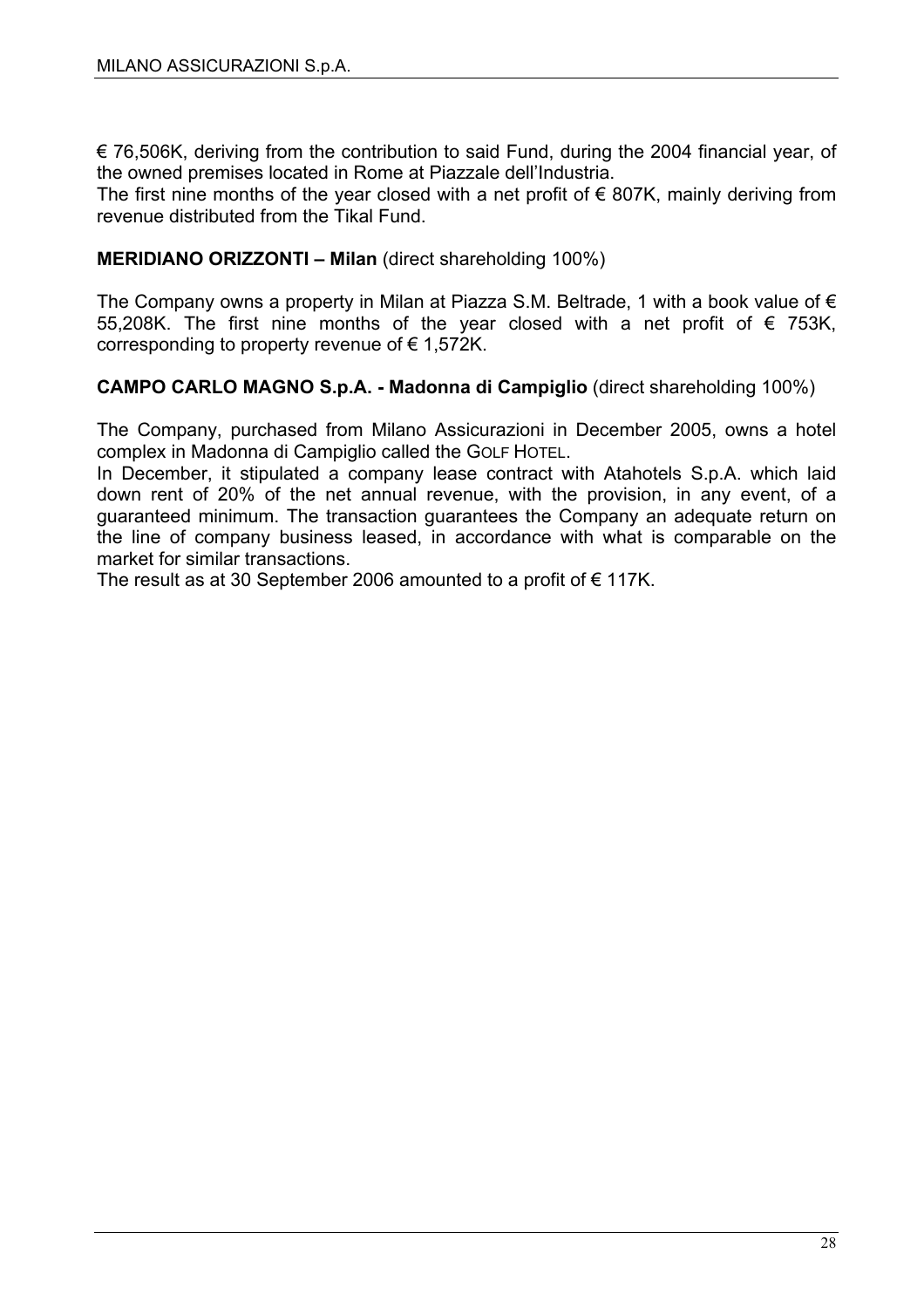$\epsilon$  76,506K, deriving from the contribution to said Fund, during the 2004 financial year, of the owned premises located in Rome at Piazzale dell'Industria.

The first nine months of the year closed with a net profit of  $\epsilon$  807K, mainly deriving from revenue distributed from the Tikal Fund.

#### **MERIDIANO ORIZZONTI – Milan** (direct shareholding 100%)

The Company owns a property in Milan at Piazza S.M. Beltrade, 1 with a book value of  $\epsilon$ 55,208K. The first nine months of the year closed with a net profit of € 753K, corresponding to property revenue of  $\epsilon$  1,572K.

#### **CAMPO CARLO MAGNO S.p.A. - Madonna di Campiglio** (direct shareholding 100%)

The Company, purchased from Milano Assicurazioni in December 2005, owns a hotel complex in Madonna di Campiglio called the GOLF HOTEL.

In December, it stipulated a company lease contract with Atahotels S.p.A. which laid down rent of 20% of the net annual revenue, with the provision, in any event, of a guaranteed minimum. The transaction guarantees the Company an adequate return on the line of company business leased, in accordance with what is comparable on the market for similar transactions.

The result as at 30 September 2006 amounted to a profit of  $\epsilon$  117K.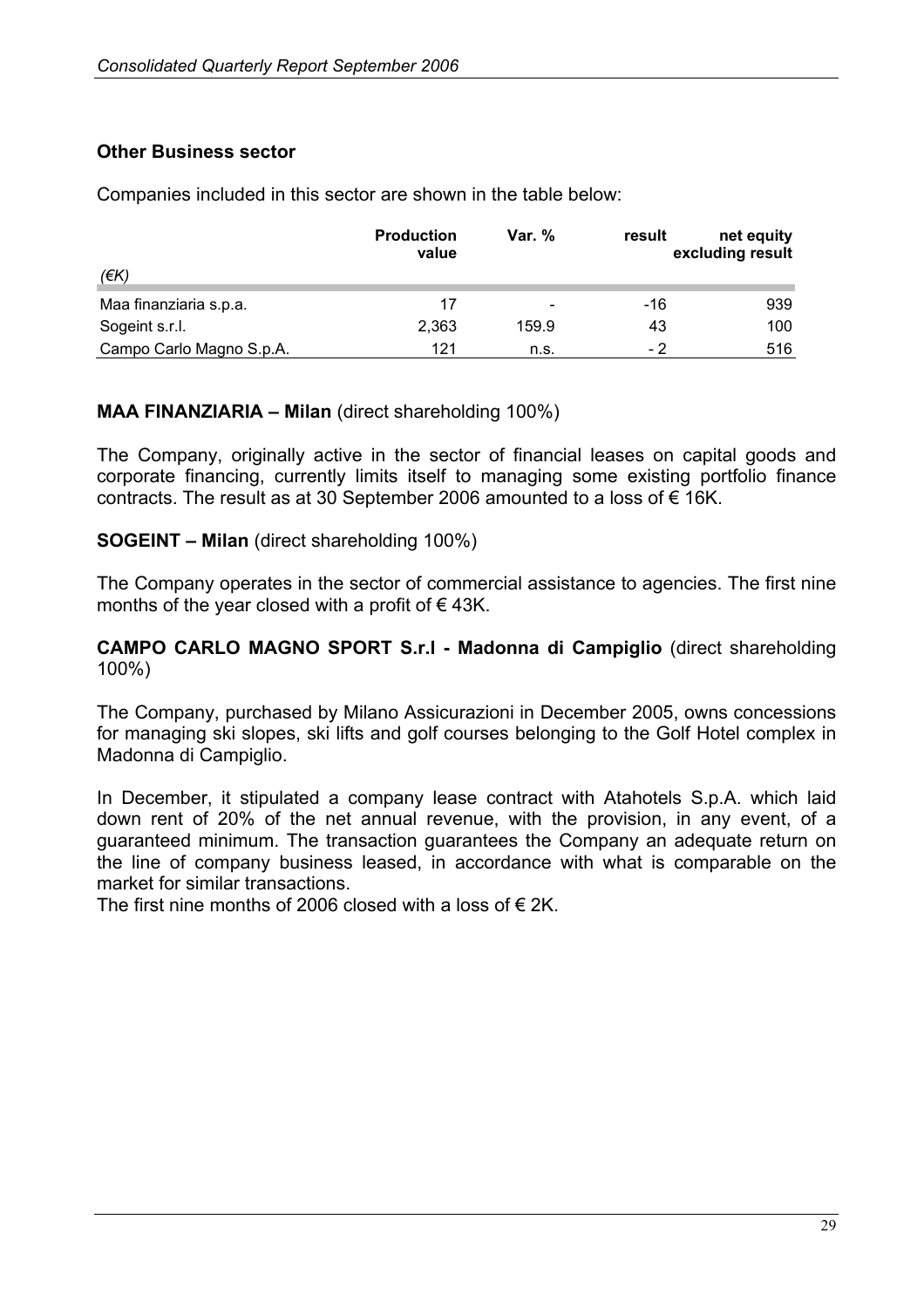#### **Other Business sector**

Companies included in this sector are shown in the table below:

|                          | <b>Production</b><br>value | Var. %                   | result | net equity<br>excluding result |
|--------------------------|----------------------------|--------------------------|--------|--------------------------------|
| (€K)                     |                            |                          |        |                                |
| Maa finanziaria s.p.a.   | 17                         | $\overline{\phantom{a}}$ | -16    | 939                            |
| Sogeint s.r.l.           | 2,363                      | 159.9                    | 43     | 100                            |
| Campo Carlo Magno S.p.A. | 121                        | n.s.                     | - 2    | 516                            |

#### **MAA FINANZIARIA – Milan** (direct shareholding 100%)

The Company, originally active in the sector of financial leases on capital goods and corporate financing, currently limits itself to managing some existing portfolio finance contracts. The result as at 30 September 2006 amounted to a loss of  $\epsilon$  16K.

#### **SOGEINT – Milan** (direct shareholding 100%)

The Company operates in the sector of commercial assistance to agencies. The first nine months of the year closed with a profit of  $\epsilon$  43K.

#### **CAMPO CARLO MAGNO SPORT S.r.l - Madonna di Campiglio** (direct shareholding 100%)

The Company, purchased by Milano Assicurazioni in December 2005, owns concessions for managing ski slopes, ski lifts and golf courses belonging to the Golf Hotel complex in Madonna di Campiglio.

In December, it stipulated a company lease contract with Atahotels S.p.A. which laid down rent of 20% of the net annual revenue, with the provision, in any event, of a guaranteed minimum. The transaction guarantees the Company an adequate return on the line of company business leased, in accordance with what is comparable on the market for similar transactions.

The first nine months of 2006 closed with a loss of  $\epsilon$  2K.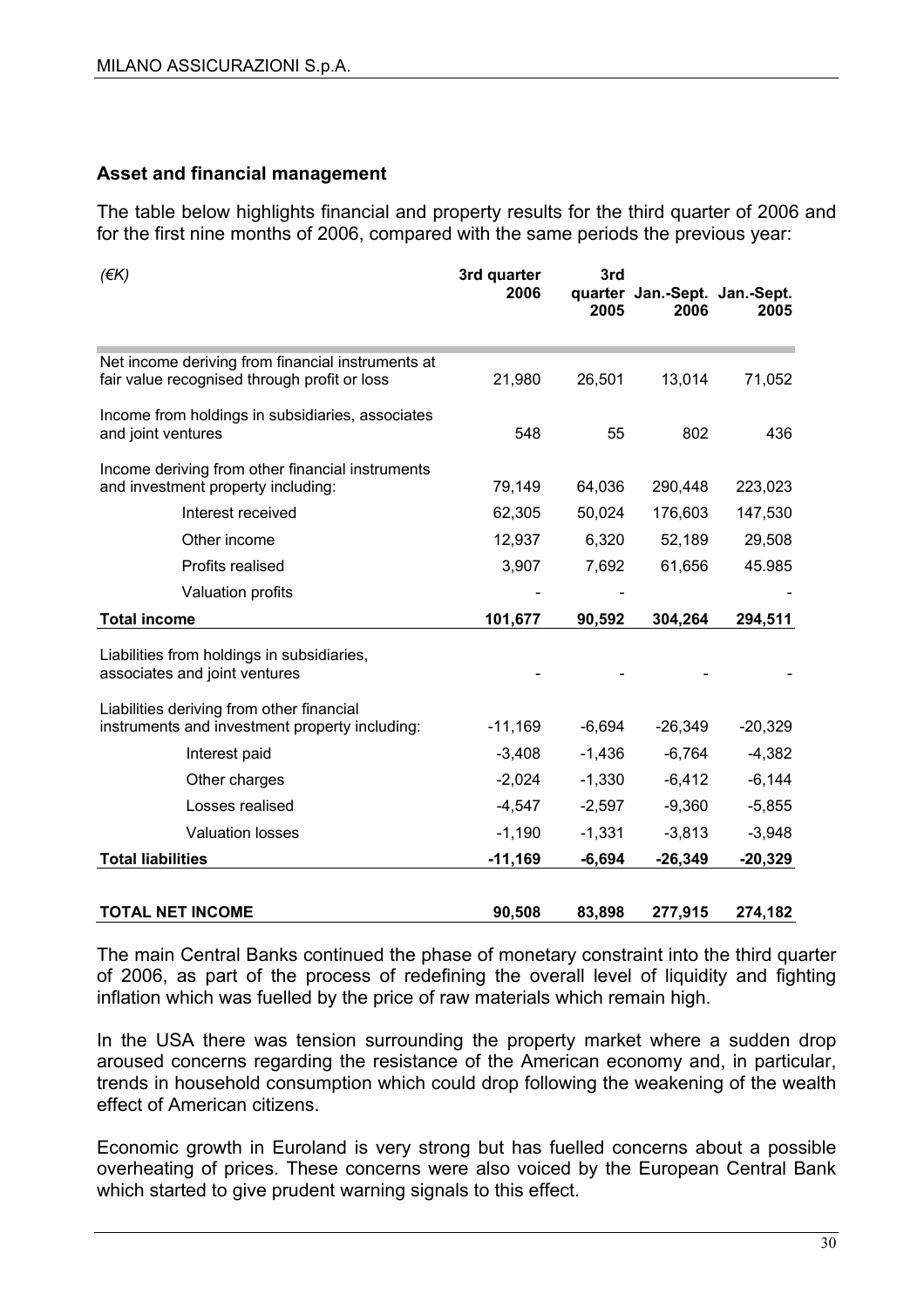#### **Asset and financial management**

The table below highlights financial and property results for the third quarter of 2006 and for the first nine months of 2006, compared with the same periods the previous year:

| $($ $\notin$ K $)$                                                                                | 3rd quarter<br>2006 | 3rd<br>2005 | quarter Jan.-Sept. Jan.-Sept.<br>2006 | 2005      |
|---------------------------------------------------------------------------------------------------|---------------------|-------------|---------------------------------------|-----------|
| Net income deriving from financial instruments at<br>fair value recognised through profit or loss | 21,980              | 26,501      | 13,014                                | 71,052    |
| Income from holdings in subsidiaries, associates<br>and joint ventures                            | 548                 | 55          | 802                                   | 436       |
| Income deriving from other financial instruments<br>and investment property including:            | 79,149              | 64,036      | 290,448                               | 223,023   |
| Interest received                                                                                 | 62,305              | 50,024      | 176,603                               | 147,530   |
| Other income                                                                                      | 12,937              | 6,320       | 52,189                                | 29,508    |
| Profits realised                                                                                  | 3,907               | 7,692       | 61,656                                | 45.985    |
| Valuation profits                                                                                 |                     |             |                                       |           |
| <b>Total income</b>                                                                               | 101,677             | 90,592      | 304,264                               | 294,511   |
| Liabilities from holdings in subsidiaries,<br>associates and joint ventures                       |                     |             |                                       |           |
| Liabilities deriving from other financial<br>instruments and investment property including:       | $-11,169$           | $-6,694$    | $-26,349$                             | $-20,329$ |
| Interest paid                                                                                     | $-3,408$            | $-1,436$    | $-6,764$                              | $-4,382$  |
| Other charges                                                                                     | $-2,024$            | $-1,330$    | $-6,412$                              | $-6,144$  |
| Losses realised                                                                                   | $-4,547$            | $-2,597$    | $-9,360$                              | $-5,855$  |
| <b>Valuation losses</b>                                                                           | $-1,190$            | $-1,331$    | $-3,813$                              | $-3,948$  |
| <b>Total liabilities</b>                                                                          | $-11,169$           | $-6,694$    | $-26,349$                             | $-20,329$ |
| <b>TOTAL NET INCOME</b>                                                                           | 90,508              | 83,898      | 277,915                               | 274,182   |

The main Central Banks continued the phase of monetary constraint into the third quarter of 2006, as part of the process of redefining the overall level of liquidity and fighting inflation which was fuelled by the price of raw materials which remain high.

In the USA there was tension surrounding the property market where a sudden drop aroused concerns regarding the resistance of the American economy and, in particular, trends in household consumption which could drop following the weakening of the wealth effect of American citizens.

Economic growth in Euroland is very strong but has fuelled concerns about a possible overheating of prices. These concerns were also voiced by the European Central Bank which started to give prudent warning signals to this effect.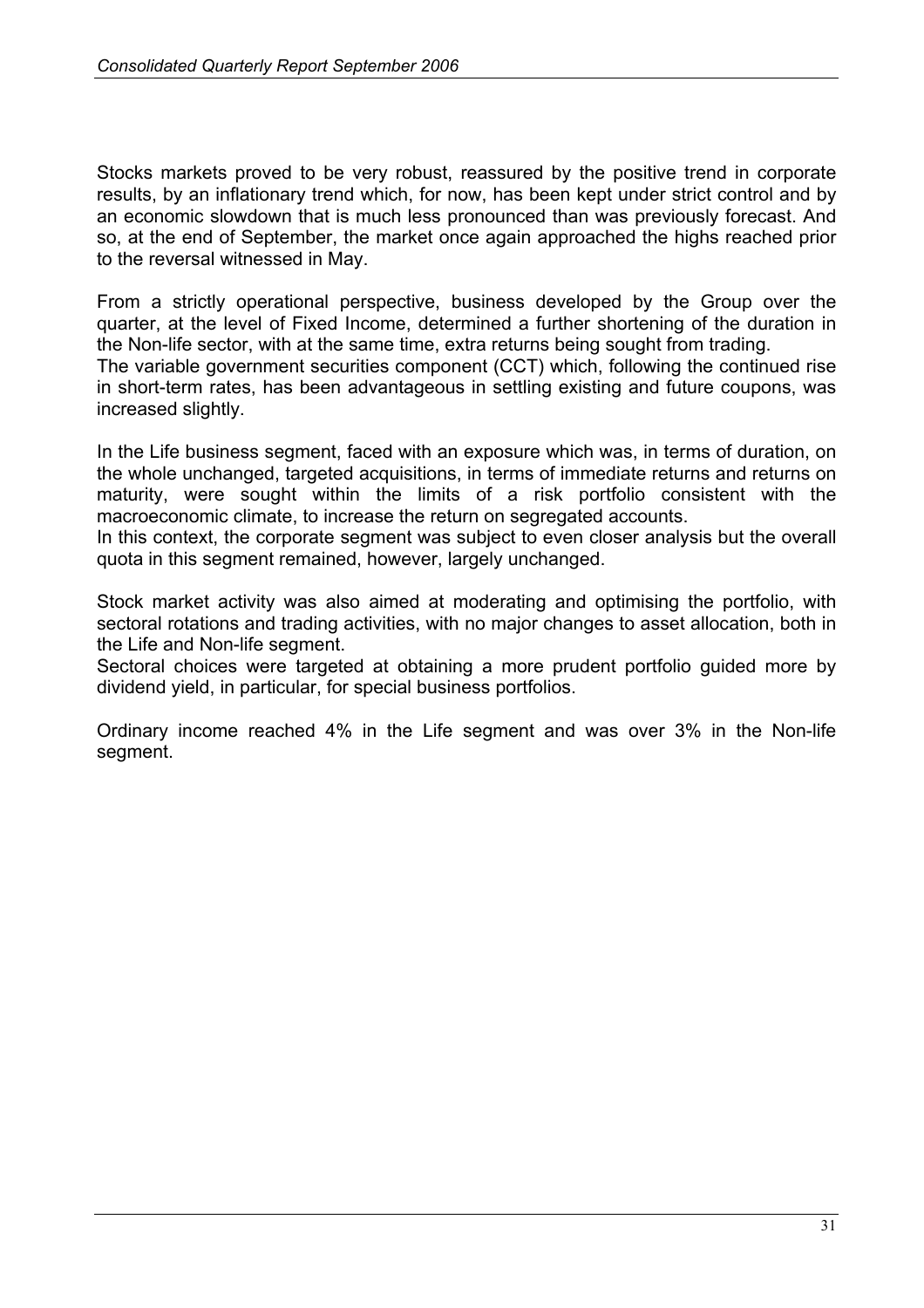Stocks markets proved to be very robust, reassured by the positive trend in corporate results, by an inflationary trend which, for now, has been kept under strict control and by an economic slowdown that is much less pronounced than was previously forecast. And so, at the end of September, the market once again approached the highs reached prior to the reversal witnessed in May.

From a strictly operational perspective, business developed by the Group over the quarter, at the level of Fixed Income, determined a further shortening of the duration in the Non-life sector, with at the same time, extra returns being sought from trading.

The variable government securities component (CCT) which, following the continued rise in short-term rates, has been advantageous in settling existing and future coupons, was increased slightly.

In the Life business segment, faced with an exposure which was, in terms of duration, on the whole unchanged, targeted acquisitions, in terms of immediate returns and returns on maturity, were sought within the limits of a risk portfolio consistent with the macroeconomic climate, to increase the return on segregated accounts.

In this context, the corporate segment was subject to even closer analysis but the overall quota in this segment remained, however, largely unchanged.

Stock market activity was also aimed at moderating and optimising the portfolio, with sectoral rotations and trading activities, with no major changes to asset allocation, both in the Life and Non-life segment.

Sectoral choices were targeted at obtaining a more prudent portfolio guided more by dividend yield, in particular, for special business portfolios.

Ordinary income reached 4% in the Life segment and was over 3% in the Non-life segment.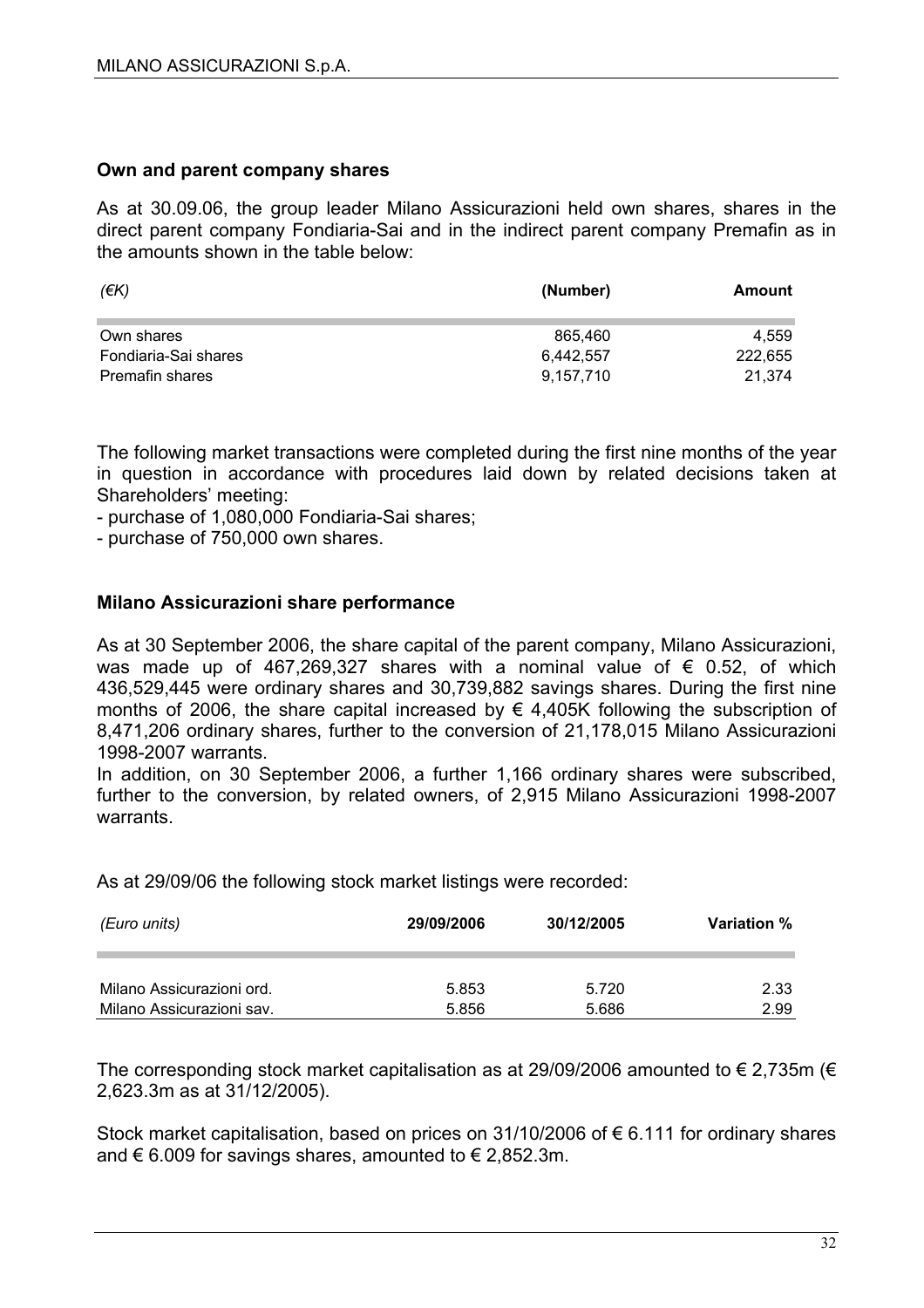#### **Own and parent company shares**

As at 30.09.06, the group leader Milano Assicurazioni held own shares, shares in the direct parent company Fondiaria-Sai and in the indirect parent company Premafin as in the amounts shown in the table below:

| (EK)                 | (Number)  | Amount  |
|----------------------|-----------|---------|
| Own shares           | 865,460   | 4.559   |
| Fondiaria-Sai shares | 6.442.557 | 222,655 |
| Premafin shares      | 9,157,710 | 21.374  |

The following market transactions were completed during the first nine months of the year in question in accordance with procedures laid down by related decisions taken at Shareholders' meeting:

- purchase of 1,080,000 Fondiaria-Sai shares;

- purchase of 750,000 own shares.

#### **Milano Assicurazioni share performance**

As at 30 September 2006, the share capital of the parent company, Milano Assicurazioni, was made up of 467,269,327 shares with a nominal value of  $\epsilon$  0.52, of which 436,529,445 were ordinary shares and 30,739,882 savings shares. During the first nine months of 2006, the share capital increased by  $\epsilon$  4,405K following the subscription of 8,471,206 ordinary shares, further to the conversion of 21,178,015 Milano Assicurazioni 1998-2007 warrants.

In addition, on 30 September 2006, a further 1,166 ordinary shares were subscribed, further to the conversion, by related owners, of 2,915 Milano Assicurazioni 1998-2007 warrants.

As at 29/09/06 the following stock market listings were recorded:

| (Euro units)              | 29/09/2006 | 30/12/2005 | <b>Variation</b> % |
|---------------------------|------------|------------|--------------------|
| Milano Assicurazioni ord. | 5.853      | 5.720      | 2.33               |
| Milano Assicurazioni sav. | 5.856      | 5.686      | 2.99               |

The corresponding stock market capitalisation as at 29/09/2006 amounted to  $\epsilon$  2,735m ( $\epsilon$ 2,623.3m as at 31/12/2005).

Stock market capitalisation, based on prices on 31/10/2006 of € 6.111 for ordinary shares and € 6.009 for savings shares, amounted to € 2,852.3m.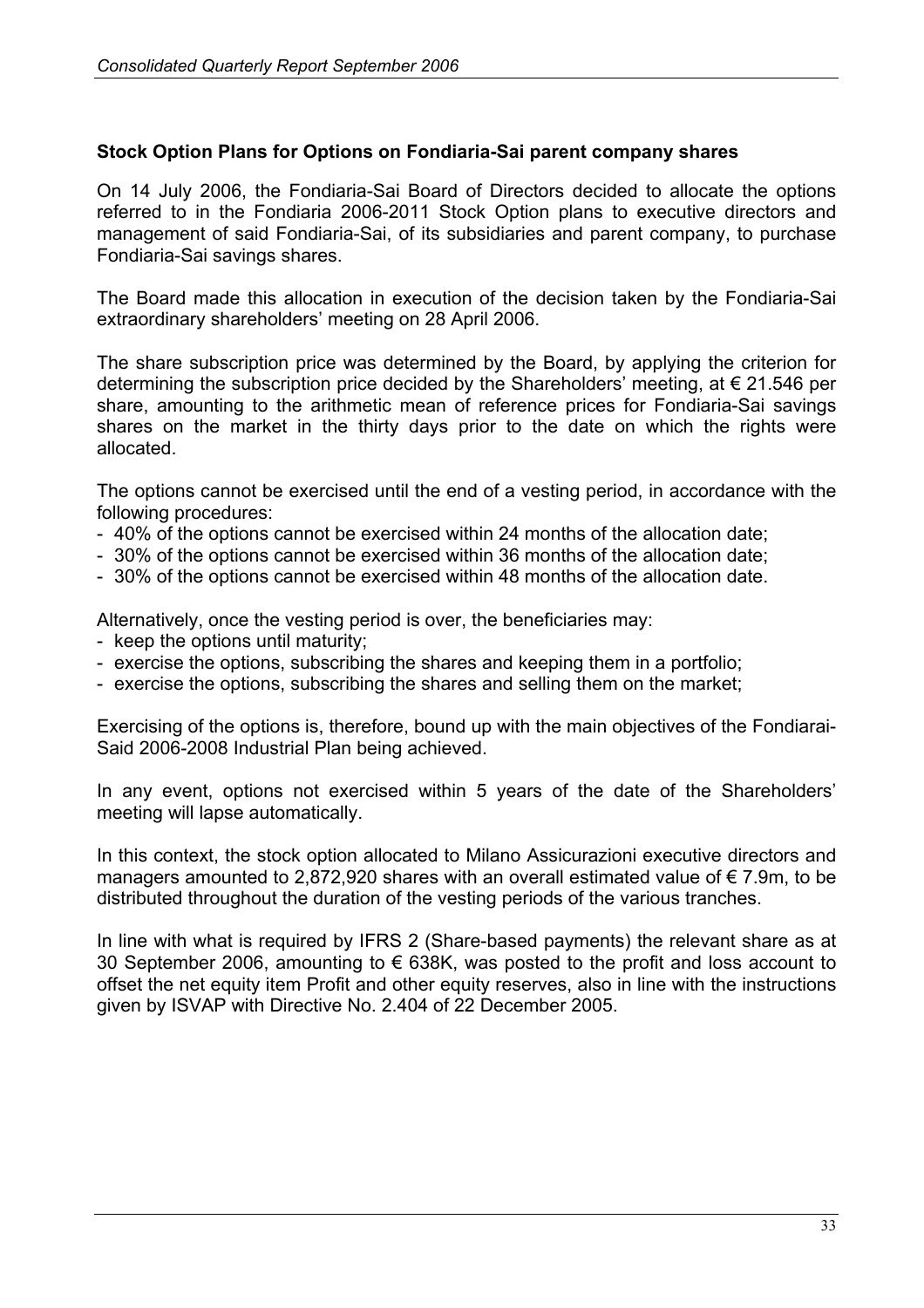#### **Stock Option Plans for Options on Fondiaria-Sai parent company shares**

On 14 July 2006, the Fondiaria-Sai Board of Directors decided to allocate the options referred to in the Fondiaria 2006-2011 Stock Option plans to executive directors and management of said Fondiaria-Sai, of its subsidiaries and parent company, to purchase Fondiaria-Sai savings shares.

The Board made this allocation in execution of the decision taken by the Fondiaria-Sai extraordinary shareholders' meeting on 28 April 2006.

The share subscription price was determined by the Board, by applying the criterion for determining the subscription price decided by the Shareholders' meeting, at € 21.546 per share, amounting to the arithmetic mean of reference prices for Fondiaria-Sai savings shares on the market in the thirty days prior to the date on which the rights were allocated.

The options cannot be exercised until the end of a vesting period, in accordance with the following procedures:

- 40% of the options cannot be exercised within 24 months of the allocation date;
- 30% of the options cannot be exercised within 36 months of the allocation date;
- 30% of the options cannot be exercised within 48 months of the allocation date.

Alternatively, once the vesting period is over, the beneficiaries may:

- keep the options until maturity;
- exercise the options, subscribing the shares and keeping them in a portfolio;
- exercise the options, subscribing the shares and selling them on the market;

Exercising of the options is, therefore, bound up with the main objectives of the Fondiarai-Said 2006-2008 Industrial Plan being achieved.

In any event, options not exercised within 5 years of the date of the Shareholders' meeting will lapse automatically.

In this context, the stock option allocated to Milano Assicurazioni executive directors and managers amounted to 2,872,920 shares with an overall estimated value of  $\epsilon$  7.9m, to be distributed throughout the duration of the vesting periods of the various tranches.

In line with what is required by IFRS 2 (Share-based payments) the relevant share as at 30 September 2006, amounting to  $\epsilon$  638K, was posted to the profit and loss account to offset the net equity item Profit and other equity reserves, also in line with the instructions given by ISVAP with Directive No. 2.404 of 22 December 2005.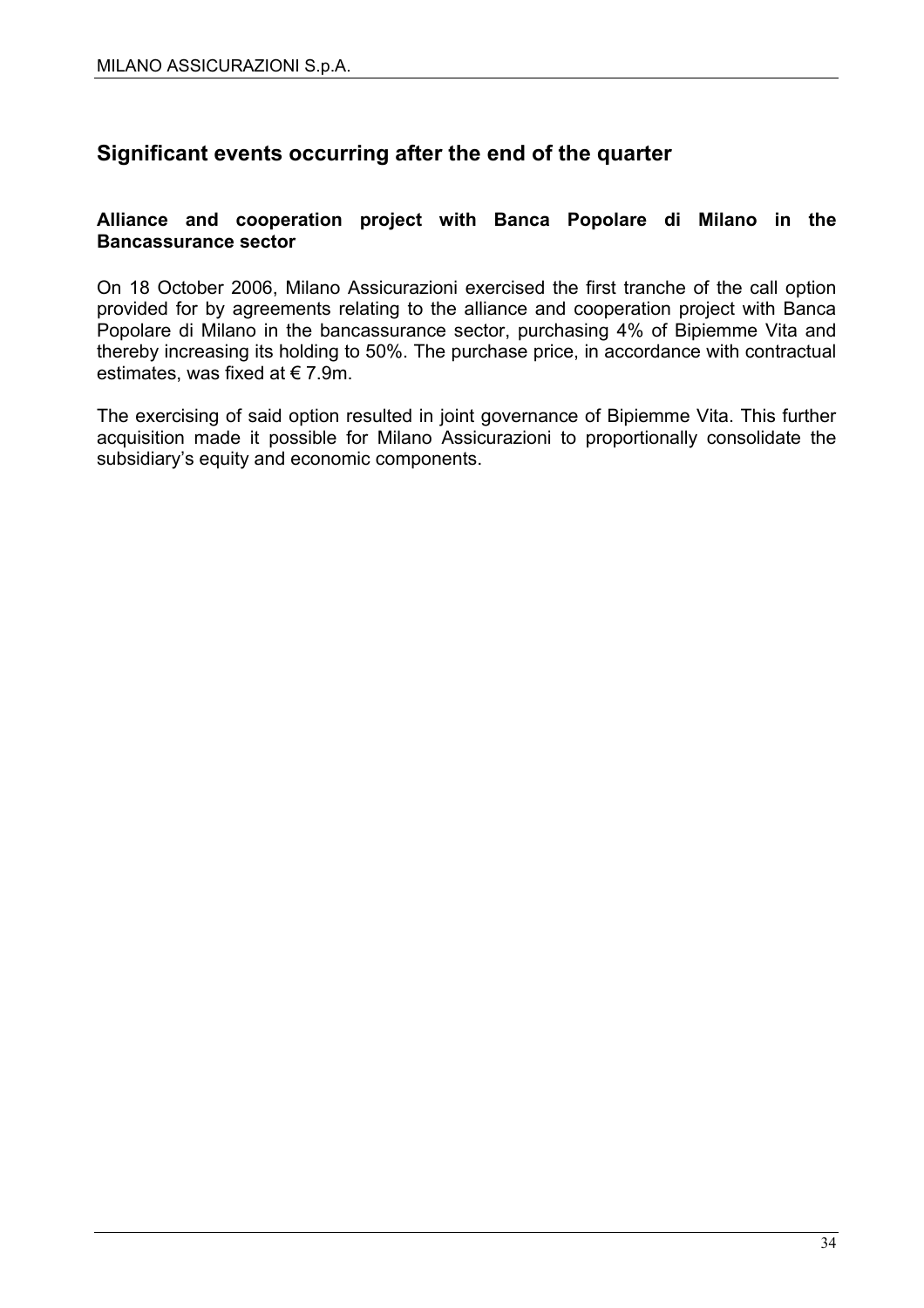# **Significant events occurring after the end of the quarter**

#### **Alliance and cooperation project with Banca Popolare di Milano in the Bancassurance sector**

On 18 October 2006, Milano Assicurazioni exercised the first tranche of the call option provided for by agreements relating to the alliance and cooperation project with Banca Popolare di Milano in the bancassurance sector, purchasing 4% of Bipiemme Vita and thereby increasing its holding to 50%. The purchase price, in accordance with contractual estimates, was fixed at  $\epsilon$  7.9m.

The exercising of said option resulted in joint governance of Bipiemme Vita. This further acquisition made it possible for Milano Assicurazioni to proportionally consolidate the subsidiary's equity and economic components.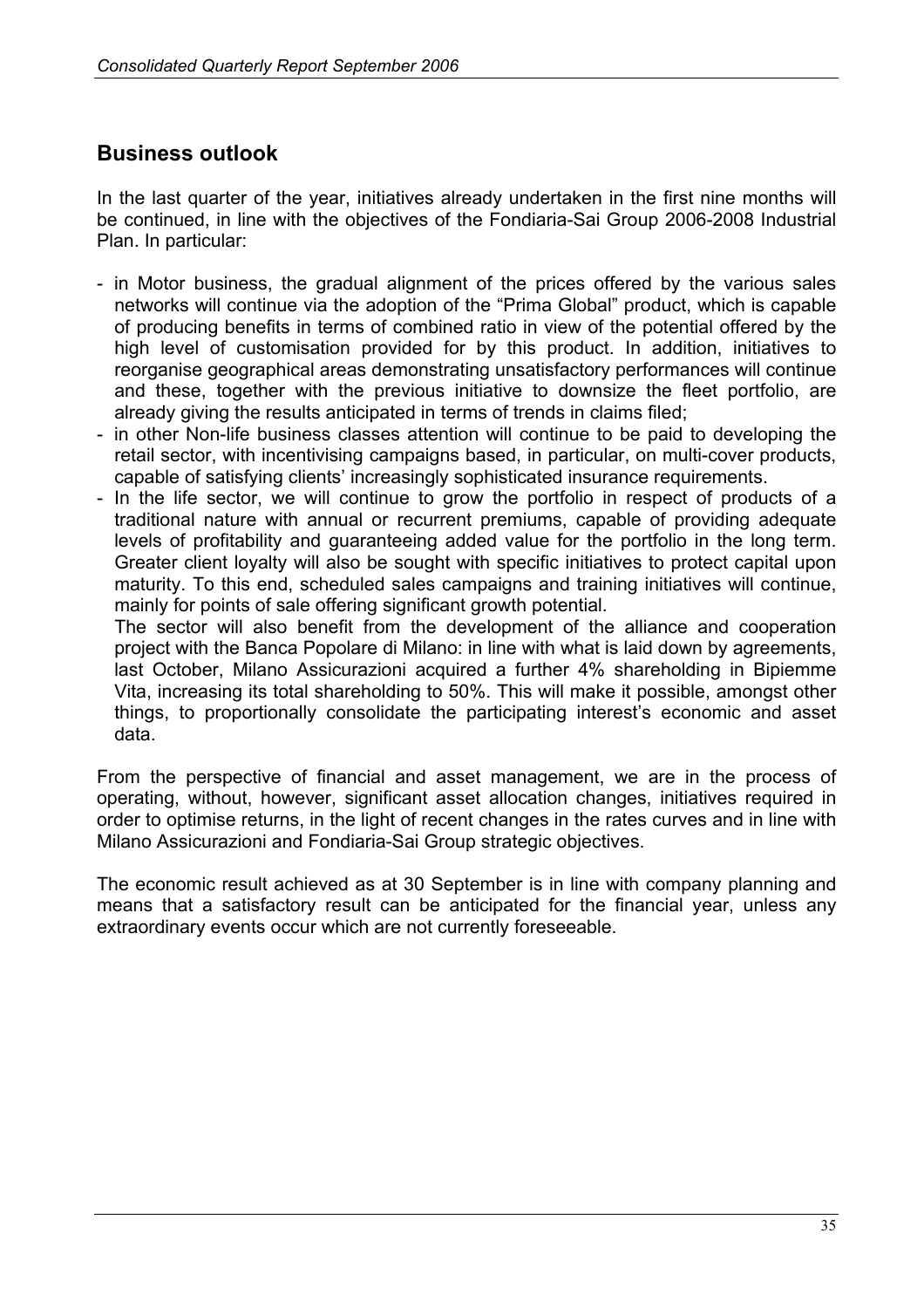# **Business outlook**

In the last quarter of the year, initiatives already undertaken in the first nine months will be continued, in line with the objectives of the Fondiaria-Sai Group 2006-2008 Industrial Plan. In particular:

- in Motor business, the gradual alignment of the prices offered by the various sales networks will continue via the adoption of the "Prima Global" product, which is capable of producing benefits in terms of combined ratio in view of the potential offered by the high level of customisation provided for by this product. In addition, initiatives to reorganise geographical areas demonstrating unsatisfactory performances will continue and these, together with the previous initiative to downsize the fleet portfolio, are already giving the results anticipated in terms of trends in claims filed;
- in other Non-life business classes attention will continue to be paid to developing the retail sector, with incentivising campaigns based, in particular, on multi-cover products, capable of satisfying clients' increasingly sophisticated insurance requirements.
- In the life sector, we will continue to grow the portfolio in respect of products of a traditional nature with annual or recurrent premiums, capable of providing adequate levels of profitability and guaranteeing added value for the portfolio in the long term. Greater client loyalty will also be sought with specific initiatives to protect capital upon maturity. To this end, scheduled sales campaigns and training initiatives will continue, mainly for points of sale offering significant growth potential.

The sector will also benefit from the development of the alliance and cooperation project with the Banca Popolare di Milano: in line with what is laid down by agreements, last October, Milano Assicurazioni acquired a further 4% shareholding in Bipiemme Vita, increasing its total shareholding to 50%. This will make it possible, amongst other things, to proportionally consolidate the participating interest's economic and asset data.

From the perspective of financial and asset management, we are in the process of operating, without, however, significant asset allocation changes, initiatives required in order to optimise returns, in the light of recent changes in the rates curves and in line with Milano Assicurazioni and Fondiaria-Sai Group strategic objectives.

The economic result achieved as at 30 September is in line with company planning and means that a satisfactory result can be anticipated for the financial year, unless any extraordinary events occur which are not currently foreseeable.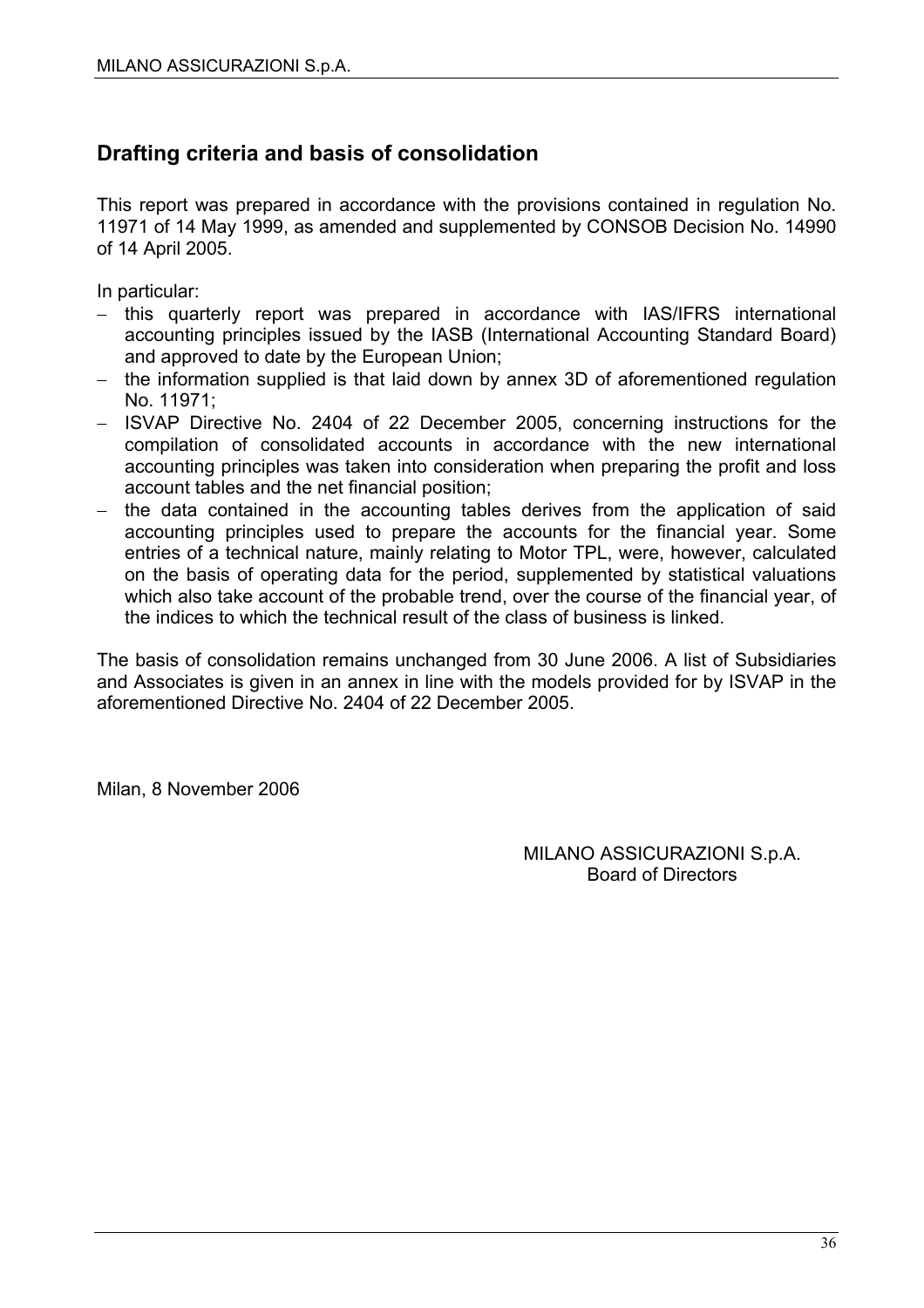# **Drafting criteria and basis of consolidation**

This report was prepared in accordance with the provisions contained in regulation No. 11971 of 14 May 1999, as amended and supplemented by CONSOB Decision No. 14990 of 14 April 2005.

In particular:

- − this quarterly report was prepared in accordance with IAS/IFRS international accounting principles issued by the IASB (International Accounting Standard Board) and approved to date by the European Union;
- − the information supplied is that laid down by annex 3D of aforementioned regulation No. 11971;
- − ISVAP Directive No. 2404 of 22 December 2005, concerning instructions for the compilation of consolidated accounts in accordance with the new international accounting principles was taken into consideration when preparing the profit and loss account tables and the net financial position;
- − the data contained in the accounting tables derives from the application of said accounting principles used to prepare the accounts for the financial year. Some entries of a technical nature, mainly relating to Motor TPL, were, however, calculated on the basis of operating data for the period, supplemented by statistical valuations which also take account of the probable trend, over the course of the financial year, of the indices to which the technical result of the class of business is linked.

The basis of consolidation remains unchanged from 30 June 2006. A list of Subsidiaries and Associates is given in an annex in line with the models provided for by ISVAP in the aforementioned Directive No. 2404 of 22 December 2005.

Milan, 8 November 2006

MILANO ASSICURAZIONI S.p.A. Board of Directors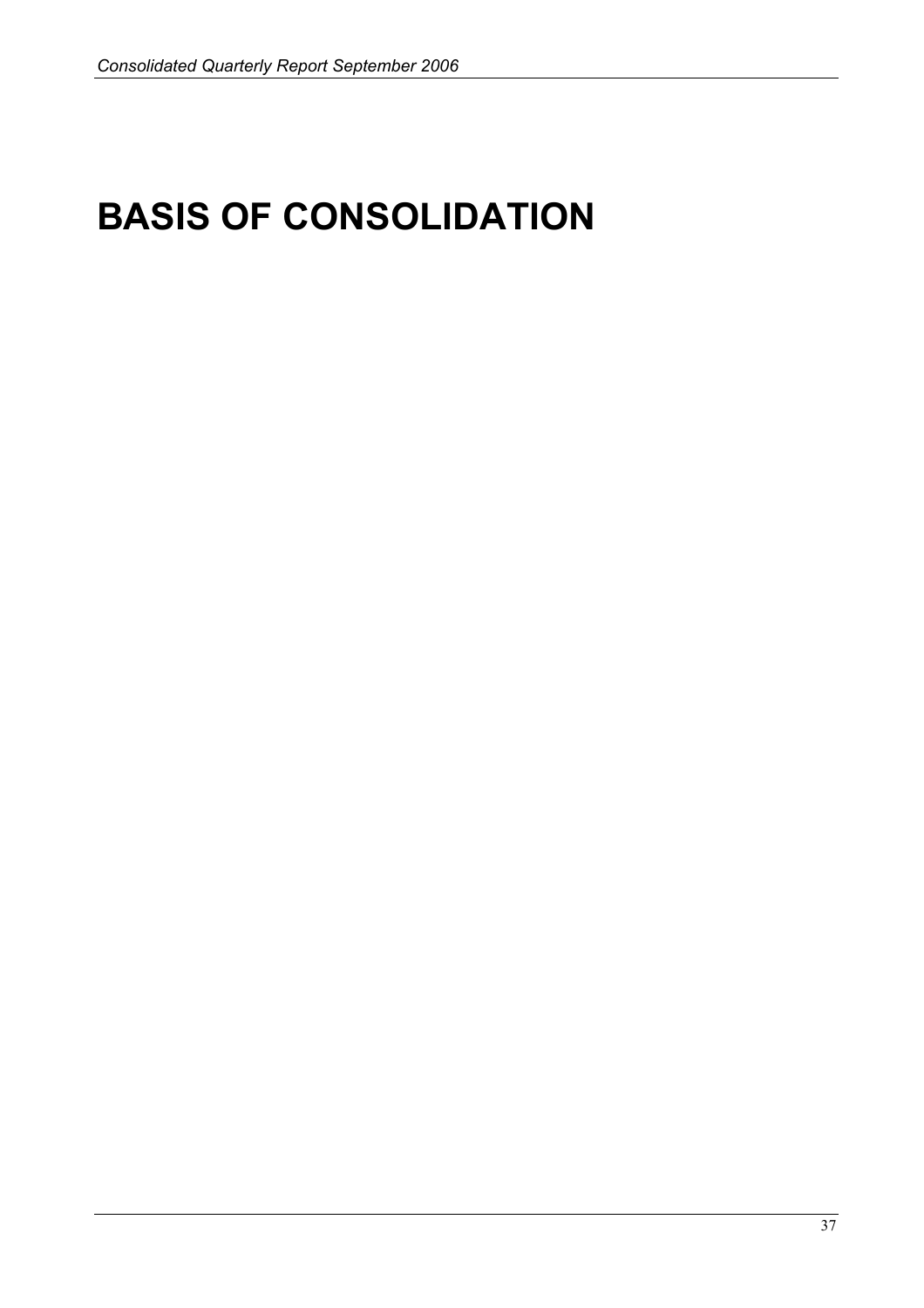# **BASIS OF CONSOLIDATION**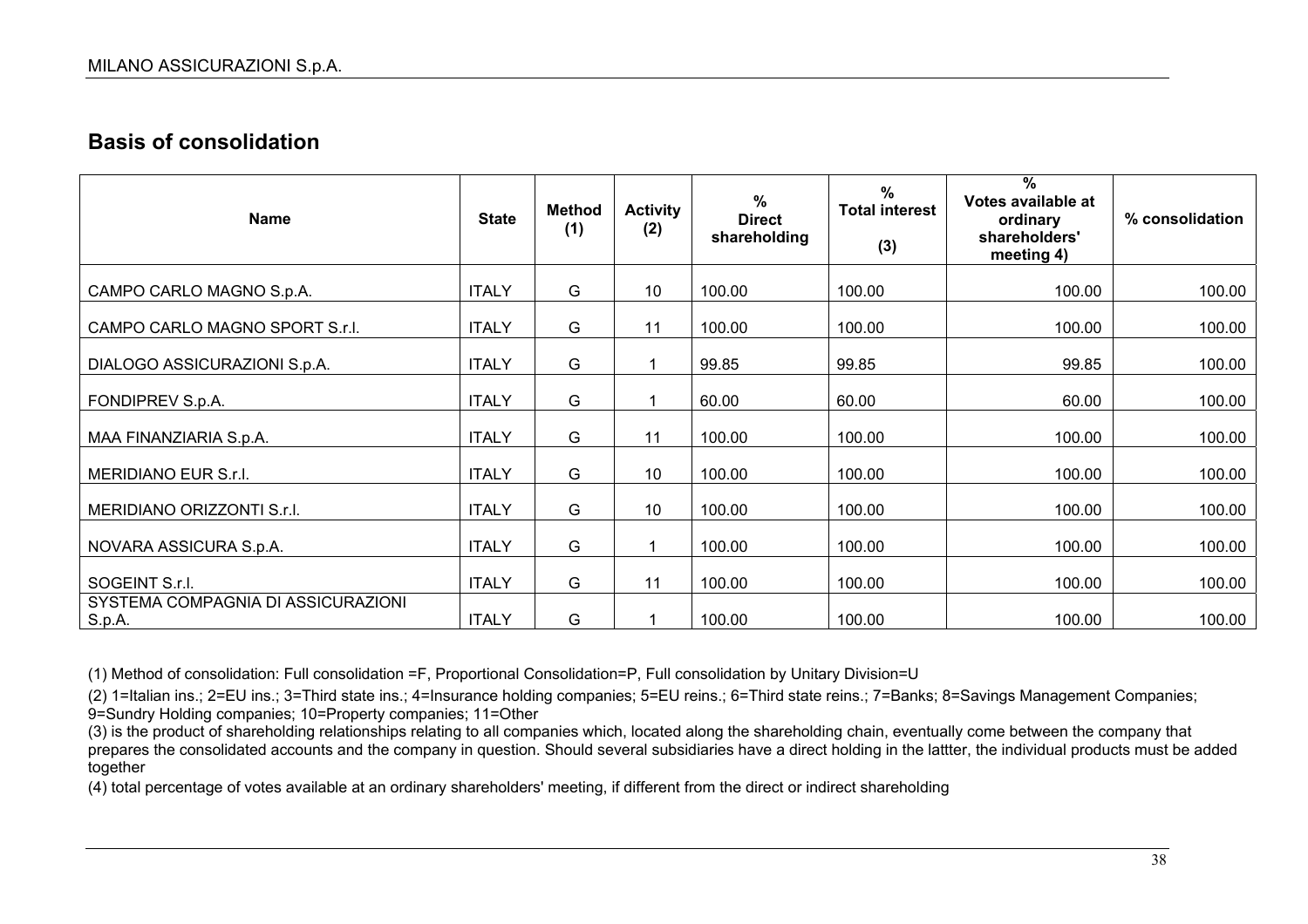# **Basis of consolidation**

| <b>Name</b>                                                    | <b>State</b>                 | <b>Method</b><br>(1) | <b>Activity</b><br>(2) | $\%$<br><b>Direct</b><br>shareholding | $\%$<br><b>Total interest</b><br>(3) | $\frac{9}{6}$<br>Votes available at<br>ordinary<br>shareholders'<br>meeting 4) | % consolidation  |
|----------------------------------------------------------------|------------------------------|----------------------|------------------------|---------------------------------------|--------------------------------------|--------------------------------------------------------------------------------|------------------|
| CAMPO CARLO MAGNO S.p.A.                                       | <b>ITALY</b>                 | G                    | 10                     | 100.00                                | 100.00                               | 100.00                                                                         | 100.00           |
| CAMPO CARLO MAGNO SPORT S.r.l.                                 | <b>ITALY</b>                 | G                    | 11                     | 100.00                                | 100.00                               | 100.00                                                                         | 100.00           |
| DIALOGO ASSICURAZIONI S.p.A.                                   | <b>ITALY</b>                 | G                    | $\mathbf 1$            | 99.85                                 | 99.85                                | 99.85                                                                          | 100.00           |
| FONDIPREV S.p.A.                                               | <b>ITALY</b>                 | G                    | 1                      | 60.00                                 | 60.00                                | 60.00                                                                          | 100.00           |
| MAA FINANZIARIA S.p.A.                                         | <b>ITALY</b>                 | G                    | 11                     | 100.00                                | 100.00                               | 100.00                                                                         | 100.00           |
| MERIDIANO EUR S.r.I.                                           | <b>ITALY</b>                 | G                    | 10                     | 100.00                                | 100.00                               | 100.00                                                                         | 100.00           |
| MERIDIANO ORIZZONTI S.r.l.                                     | <b>ITALY</b>                 | G                    | 10                     | 100.00                                | 100.00                               | 100.00                                                                         | 100.00           |
| NOVARA ASSICURA S.p.A.                                         | <b>ITALY</b>                 | G                    |                        | 100.00                                | 100.00                               | 100.00                                                                         | 100.00           |
|                                                                |                              |                      |                        |                                       |                                      |                                                                                |                  |
| SOGEINT S.r.I.<br>SYSTEMA COMPAGNIA DI ASSICURAZIONI<br>S.p.A. | <b>ITALY</b><br><b>ITALY</b> | G<br>G               | 11                     | 100.00<br>100.00                      | 100.00<br>100.00                     | 100.00<br>100.00                                                               | 100.00<br>100.00 |

(1) Method of consolidation: Full consolidation =F, Proportional Consolidation=P, Full consolidation by Unitary Division=U

(2) 1=Italian ins.; 2=EU ins.; 3=Third state ins.; 4=Insurance holding companies; 5=EU reins.; 6=Third state reins.; 7=Banks; 8=Savings Management Companies; 9=Sundry Holding companies; 10=Property companies; 11=Other

(3) is the product of shareholding relationships relating to all companies which, located along the shareholding chain, eventually come between the company that prepares the consolidated accounts and the company in question. Should several subsidiaries have a direct holding in the lattter, the individual products must be added together

(4) total percentage of votes available at an ordinary shareholders' meeting, if different from the direct or indirect shareholding